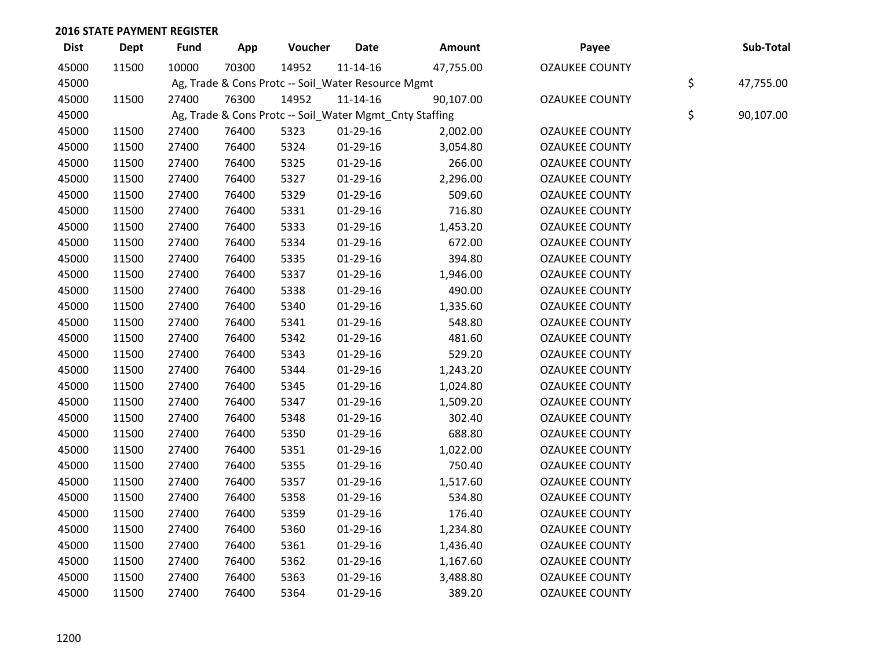| <b>Dist</b> | <b>Dept</b> | <b>Fund</b> | App   | Voucher                                                 | Date           | <b>Amount</b> | Payee                 | Sub-Total       |
|-------------|-------------|-------------|-------|---------------------------------------------------------|----------------|---------------|-----------------------|-----------------|
| 45000       | 11500       | 10000       | 70300 | 14952                                                   | $11 - 14 - 16$ | 47,755.00     | <b>OZAUKEE COUNTY</b> |                 |
| 45000       |             |             |       | Ag, Trade & Cons Protc -- Soil_Water Resource Mgmt      |                |               |                       | \$<br>47,755.00 |
| 45000       | 11500       | 27400       | 76300 | 14952                                                   | $11 - 14 - 16$ | 90,107.00     | <b>OZAUKEE COUNTY</b> |                 |
| 45000       |             |             |       | Ag, Trade & Cons Protc -- Soil_Water Mgmt_Cnty Staffing |                |               |                       | \$<br>90,107.00 |
| 45000       | 11500       | 27400       | 76400 | 5323                                                    | $01-29-16$     | 2,002.00      | <b>OZAUKEE COUNTY</b> |                 |
| 45000       | 11500       | 27400       | 76400 | 5324                                                    | $01-29-16$     | 3,054.80      | <b>OZAUKEE COUNTY</b> |                 |
| 45000       | 11500       | 27400       | 76400 | 5325                                                    | 01-29-16       | 266.00        | <b>OZAUKEE COUNTY</b> |                 |
| 45000       | 11500       | 27400       | 76400 | 5327                                                    | $01-29-16$     | 2,296.00      | <b>OZAUKEE COUNTY</b> |                 |
| 45000       | 11500       | 27400       | 76400 | 5329                                                    | 01-29-16       | 509.60        | <b>OZAUKEE COUNTY</b> |                 |
| 45000       | 11500       | 27400       | 76400 | 5331                                                    | 01-29-16       | 716.80        | <b>OZAUKEE COUNTY</b> |                 |
| 45000       | 11500       | 27400       | 76400 | 5333                                                    | 01-29-16       | 1,453.20      | <b>OZAUKEE COUNTY</b> |                 |
| 45000       | 11500       | 27400       | 76400 | 5334                                                    | $01-29-16$     | 672.00        | <b>OZAUKEE COUNTY</b> |                 |
| 45000       | 11500       | 27400       | 76400 | 5335                                                    | 01-29-16       | 394.80        | <b>OZAUKEE COUNTY</b> |                 |
| 45000       | 11500       | 27400       | 76400 | 5337                                                    | 01-29-16       | 1,946.00      | <b>OZAUKEE COUNTY</b> |                 |
| 45000       | 11500       | 27400       | 76400 | 5338                                                    | $01-29-16$     | 490.00        | <b>OZAUKEE COUNTY</b> |                 |
| 45000       | 11500       | 27400       | 76400 | 5340                                                    | 01-29-16       | 1,335.60      | <b>OZAUKEE COUNTY</b> |                 |
| 45000       | 11500       | 27400       | 76400 | 5341                                                    | 01-29-16       | 548.80        | <b>OZAUKEE COUNTY</b> |                 |
| 45000       | 11500       | 27400       | 76400 | 5342                                                    | $01-29-16$     | 481.60        | <b>OZAUKEE COUNTY</b> |                 |
| 45000       | 11500       | 27400       | 76400 | 5343                                                    | 01-29-16       | 529.20        | <b>OZAUKEE COUNTY</b> |                 |
| 45000       | 11500       | 27400       | 76400 | 5344                                                    | 01-29-16       | 1,243.20      | <b>OZAUKEE COUNTY</b> |                 |
| 45000       | 11500       | 27400       | 76400 | 5345                                                    | 01-29-16       | 1,024.80      | <b>OZAUKEE COUNTY</b> |                 |
| 45000       | 11500       | 27400       | 76400 | 5347                                                    | $01-29-16$     | 1,509.20      | <b>OZAUKEE COUNTY</b> |                 |
| 45000       | 11500       | 27400       | 76400 | 5348                                                    | 01-29-16       | 302.40        | <b>OZAUKEE COUNTY</b> |                 |
| 45000       | 11500       | 27400       | 76400 | 5350                                                    | $01-29-16$     | 688.80        | <b>OZAUKEE COUNTY</b> |                 |
| 45000       | 11500       | 27400       | 76400 | 5351                                                    | $01-29-16$     | 1,022.00      | <b>OZAUKEE COUNTY</b> |                 |
| 45000       | 11500       | 27400       | 76400 | 5355                                                    | 01-29-16       | 750.40        | <b>OZAUKEE COUNTY</b> |                 |
| 45000       | 11500       | 27400       | 76400 | 5357                                                    | $01-29-16$     | 1,517.60      | <b>OZAUKEE COUNTY</b> |                 |
| 45000       | 11500       | 27400       | 76400 | 5358                                                    | $01-29-16$     | 534.80        | <b>OZAUKEE COUNTY</b> |                 |
| 45000       | 11500       | 27400       | 76400 | 5359                                                    | 01-29-16       | 176.40        | <b>OZAUKEE COUNTY</b> |                 |
| 45000       | 11500       | 27400       | 76400 | 5360                                                    | 01-29-16       | 1,234.80      | <b>OZAUKEE COUNTY</b> |                 |
| 45000       | 11500       | 27400       | 76400 | 5361                                                    | $01-29-16$     | 1,436.40      | <b>OZAUKEE COUNTY</b> |                 |
| 45000       | 11500       | 27400       | 76400 | 5362                                                    | 01-29-16       | 1,167.60      | <b>OZAUKEE COUNTY</b> |                 |
| 45000       | 11500       | 27400       | 76400 | 5363                                                    | $01-29-16$     | 3,488.80      | <b>OZAUKEE COUNTY</b> |                 |
| 45000       | 11500       | 27400       | 76400 | 5364                                                    | 01-29-16       | 389.20        | <b>OZAUKEE COUNTY</b> |                 |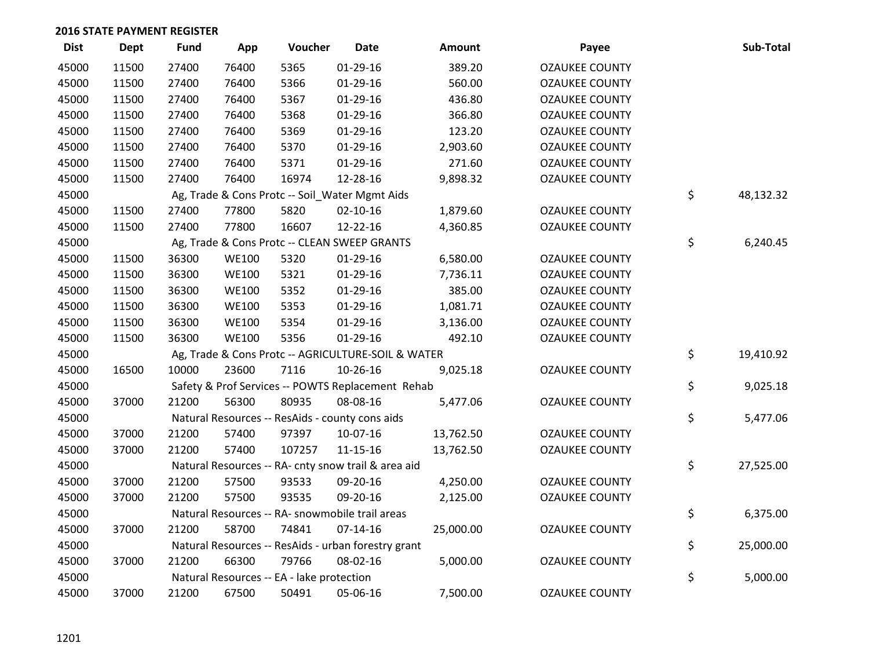| <b>Dist</b> | Dept  | <b>Fund</b> | App          | Voucher                                             | <b>Date</b>    | <b>Amount</b> | Payee                 | Sub-Total       |
|-------------|-------|-------------|--------------|-----------------------------------------------------|----------------|---------------|-----------------------|-----------------|
| 45000       | 11500 | 27400       | 76400        | 5365                                                | $01-29-16$     | 389.20        | <b>OZAUKEE COUNTY</b> |                 |
| 45000       | 11500 | 27400       | 76400        | 5366                                                | $01-29-16$     | 560.00        | <b>OZAUKEE COUNTY</b> |                 |
| 45000       | 11500 | 27400       | 76400        | 5367                                                | $01-29-16$     | 436.80        | <b>OZAUKEE COUNTY</b> |                 |
| 45000       | 11500 | 27400       | 76400        | 5368                                                | $01-29-16$     | 366.80        | <b>OZAUKEE COUNTY</b> |                 |
| 45000       | 11500 | 27400       | 76400        | 5369                                                | $01-29-16$     | 123.20        | <b>OZAUKEE COUNTY</b> |                 |
| 45000       | 11500 | 27400       | 76400        | 5370                                                | $01-29-16$     | 2,903.60      | <b>OZAUKEE COUNTY</b> |                 |
| 45000       | 11500 | 27400       | 76400        | 5371                                                | $01-29-16$     | 271.60        | <b>OZAUKEE COUNTY</b> |                 |
| 45000       | 11500 | 27400       | 76400        | 16974                                               | 12-28-16       | 9,898.32      | <b>OZAUKEE COUNTY</b> |                 |
| 45000       |       |             |              | Ag, Trade & Cons Protc -- Soil_Water Mgmt Aids      |                |               |                       | \$<br>48,132.32 |
| 45000       | 11500 | 27400       | 77800        | 5820                                                | $02 - 10 - 16$ | 1,879.60      | <b>OZAUKEE COUNTY</b> |                 |
| 45000       | 11500 | 27400       | 77800        | 16607                                               | 12-22-16       | 4,360.85      | <b>OZAUKEE COUNTY</b> |                 |
| 45000       |       |             |              | Ag, Trade & Cons Protc -- CLEAN SWEEP GRANTS        |                |               |                       | \$<br>6,240.45  |
| 45000       | 11500 | 36300       | <b>WE100</b> | 5320                                                | $01-29-16$     | 6,580.00      | <b>OZAUKEE COUNTY</b> |                 |
| 45000       | 11500 | 36300       | <b>WE100</b> | 5321                                                | $01-29-16$     | 7,736.11      | <b>OZAUKEE COUNTY</b> |                 |
| 45000       | 11500 | 36300       | <b>WE100</b> | 5352                                                | $01-29-16$     | 385.00        | <b>OZAUKEE COUNTY</b> |                 |
| 45000       | 11500 | 36300       | <b>WE100</b> | 5353                                                | $01-29-16$     | 1,081.71      | <b>OZAUKEE COUNTY</b> |                 |
| 45000       | 11500 | 36300       | <b>WE100</b> | 5354                                                | $01-29-16$     | 3,136.00      | <b>OZAUKEE COUNTY</b> |                 |
| 45000       | 11500 | 36300       | <b>WE100</b> | 5356                                                | 01-29-16       | 492.10        | <b>OZAUKEE COUNTY</b> |                 |
| 45000       |       |             |              | Ag, Trade & Cons Protc -- AGRICULTURE-SOIL & WATER  |                |               |                       | \$<br>19,410.92 |
| 45000       | 16500 | 10000       | 23600        | 7116                                                | 10-26-16       | 9,025.18      | <b>OZAUKEE COUNTY</b> |                 |
| 45000       |       |             |              | Safety & Prof Services -- POWTS Replacement Rehab   |                |               |                       | \$<br>9,025.18  |
| 45000       | 37000 | 21200       | 56300        | 80935                                               | 08-08-16       | 5,477.06      | <b>OZAUKEE COUNTY</b> |                 |
| 45000       |       |             |              | Natural Resources -- ResAids - county cons aids     |                |               |                       | \$<br>5,477.06  |
| 45000       | 37000 | 21200       | 57400        | 97397                                               | 10-07-16       | 13,762.50     | <b>OZAUKEE COUNTY</b> |                 |
| 45000       | 37000 | 21200       | 57400        | 107257                                              | $11 - 15 - 16$ | 13,762.50     | <b>OZAUKEE COUNTY</b> |                 |
| 45000       |       |             |              | Natural Resources -- RA- cnty snow trail & area aid |                |               |                       | \$<br>27,525.00 |
| 45000       | 37000 | 21200       | 57500        | 93533                                               | 09-20-16       | 4,250.00      | <b>OZAUKEE COUNTY</b> |                 |
| 45000       | 37000 | 21200       | 57500        | 93535                                               | 09-20-16       | 2,125.00      | <b>OZAUKEE COUNTY</b> |                 |
| 45000       |       |             |              | Natural Resources -- RA- snowmobile trail areas     |                |               |                       | \$<br>6,375.00  |
| 45000       | 37000 | 21200       | 58700        | 74841                                               | $07 - 14 - 16$ | 25,000.00     | <b>OZAUKEE COUNTY</b> |                 |
| 45000       |       |             |              | Natural Resources -- ResAids - urban forestry grant |                |               |                       | \$<br>25,000.00 |
| 45000       | 37000 | 21200       | 66300        | 79766                                               | 08-02-16       | 5,000.00      | <b>OZAUKEE COUNTY</b> |                 |
| 45000       |       |             |              | Natural Resources -- EA - lake protection           |                |               |                       | \$<br>5,000.00  |
| 45000       | 37000 | 21200       | 67500        | 50491                                               | 05-06-16       | 7,500.00      | <b>OZAUKEE COUNTY</b> |                 |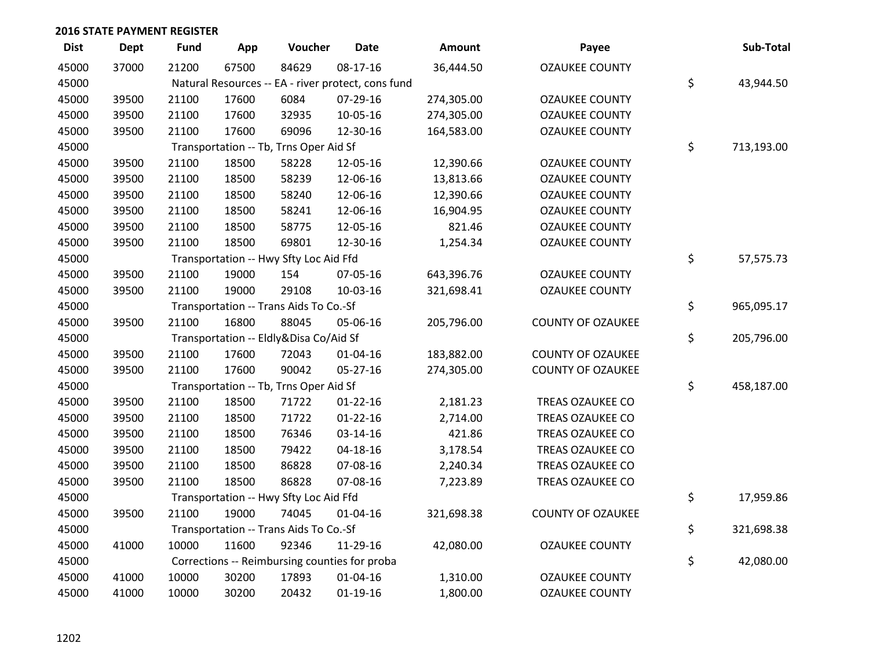| <b>Dist</b> | <b>Dept</b> | <b>Fund</b> | App   | Voucher                                            | <b>Date</b>    | Amount     | Payee                    | Sub-Total        |
|-------------|-------------|-------------|-------|----------------------------------------------------|----------------|------------|--------------------------|------------------|
| 45000       | 37000       | 21200       | 67500 | 84629                                              | 08-17-16       | 36,444.50  | <b>OZAUKEE COUNTY</b>    |                  |
| 45000       |             |             |       | Natural Resources -- EA - river protect, cons fund |                |            |                          | \$<br>43,944.50  |
| 45000       | 39500       | 21100       | 17600 | 6084                                               | 07-29-16       | 274,305.00 | <b>OZAUKEE COUNTY</b>    |                  |
| 45000       | 39500       | 21100       | 17600 | 32935                                              | 10-05-16       | 274,305.00 | <b>OZAUKEE COUNTY</b>    |                  |
| 45000       | 39500       | 21100       | 17600 | 69096                                              | 12-30-16       | 164,583.00 | <b>OZAUKEE COUNTY</b>    |                  |
| 45000       |             |             |       | Transportation -- Tb, Trns Oper Aid Sf             |                |            |                          | \$<br>713,193.00 |
| 45000       | 39500       | 21100       | 18500 | 58228                                              | 12-05-16       | 12,390.66  | <b>OZAUKEE COUNTY</b>    |                  |
| 45000       | 39500       | 21100       | 18500 | 58239                                              | 12-06-16       | 13,813.66  | <b>OZAUKEE COUNTY</b>    |                  |
| 45000       | 39500       | 21100       | 18500 | 58240                                              | 12-06-16       | 12,390.66  | <b>OZAUKEE COUNTY</b>    |                  |
| 45000       | 39500       | 21100       | 18500 | 58241                                              | 12-06-16       | 16,904.95  | <b>OZAUKEE COUNTY</b>    |                  |
| 45000       | 39500       | 21100       | 18500 | 58775                                              | 12-05-16       | 821.46     | <b>OZAUKEE COUNTY</b>    |                  |
| 45000       | 39500       | 21100       | 18500 | 69801                                              | 12-30-16       | 1,254.34   | <b>OZAUKEE COUNTY</b>    |                  |
| 45000       |             |             |       | Transportation -- Hwy Sfty Loc Aid Ffd             |                |            |                          | \$<br>57,575.73  |
| 45000       | 39500       | 21100       | 19000 | 154                                                | 07-05-16       | 643,396.76 | <b>OZAUKEE COUNTY</b>    |                  |
| 45000       | 39500       | 21100       | 19000 | 29108                                              | 10-03-16       | 321,698.41 | <b>OZAUKEE COUNTY</b>    |                  |
| 45000       |             |             |       | Transportation -- Trans Aids To Co.-Sf             |                |            |                          | \$<br>965,095.17 |
| 45000       | 39500       | 21100       | 16800 | 88045                                              | 05-06-16       | 205,796.00 | <b>COUNTY OF OZAUKEE</b> |                  |
| 45000       |             |             |       | Transportation -- Eldly&Disa Co/Aid Sf             |                |            |                          | \$<br>205,796.00 |
| 45000       | 39500       | 21100       | 17600 | 72043                                              | $01 - 04 - 16$ | 183,882.00 | <b>COUNTY OF OZAUKEE</b> |                  |
| 45000       | 39500       | 21100       | 17600 | 90042                                              | 05-27-16       | 274,305.00 | <b>COUNTY OF OZAUKEE</b> |                  |
| 45000       |             |             |       | Transportation -- Tb, Trns Oper Aid Sf             |                |            |                          | \$<br>458,187.00 |
| 45000       | 39500       | 21100       | 18500 | 71722                                              | $01 - 22 - 16$ | 2,181.23   | TREAS OZAUKEE CO         |                  |
| 45000       | 39500       | 21100       | 18500 | 71722                                              | $01 - 22 - 16$ | 2,714.00   | TREAS OZAUKEE CO         |                  |
| 45000       | 39500       | 21100       | 18500 | 76346                                              | 03-14-16       | 421.86     | TREAS OZAUKEE CO         |                  |
| 45000       | 39500       | 21100       | 18500 | 79422                                              | $04 - 18 - 16$ | 3,178.54   | TREAS OZAUKEE CO         |                  |
| 45000       | 39500       | 21100       | 18500 | 86828                                              | 07-08-16       | 2,240.34   | TREAS OZAUKEE CO         |                  |
| 45000       | 39500       | 21100       | 18500 | 86828                                              | 07-08-16       | 7,223.89   | TREAS OZAUKEE CO         |                  |
| 45000       |             |             |       | Transportation -- Hwy Sfty Loc Aid Ffd             |                |            |                          | \$<br>17,959.86  |
| 45000       | 39500       | 21100       | 19000 | 74045                                              | $01 - 04 - 16$ | 321,698.38 | <b>COUNTY OF OZAUKEE</b> |                  |
| 45000       |             |             |       | Transportation -- Trans Aids To Co.-Sf             |                |            |                          | \$<br>321,698.38 |
| 45000       | 41000       | 10000       | 11600 | 92346                                              | 11-29-16       | 42,080.00  | <b>OZAUKEE COUNTY</b>    |                  |
| 45000       |             |             |       | Corrections -- Reimbursing counties for proba      |                |            |                          | \$<br>42,080.00  |
| 45000       | 41000       | 10000       | 30200 | 17893                                              | $01 - 04 - 16$ | 1,310.00   | <b>OZAUKEE COUNTY</b>    |                  |
| 45000       | 41000       | 10000       | 30200 | 20432                                              | $01-19-16$     | 1,800.00   | <b>OZAUKEE COUNTY</b>    |                  |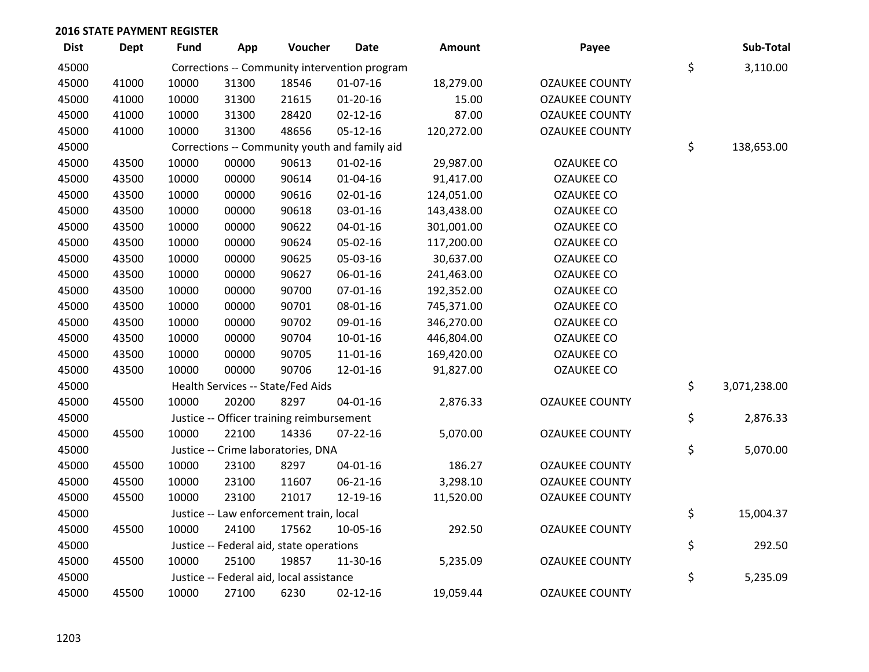| <b>Dist</b> | <b>Dept</b> | <b>Fund</b> | App   | Voucher                                   | <b>Date</b>                                   | Amount     | Payee                 | Sub-Total          |
|-------------|-------------|-------------|-------|-------------------------------------------|-----------------------------------------------|------------|-----------------------|--------------------|
| 45000       |             |             |       |                                           | Corrections -- Community intervention program |            |                       | \$<br>3,110.00     |
| 45000       | 41000       | 10000       | 31300 | 18546                                     | $01-07-16$                                    | 18,279.00  | <b>OZAUKEE COUNTY</b> |                    |
| 45000       | 41000       | 10000       | 31300 | 21615                                     | $01 - 20 - 16$                                | 15.00      | <b>OZAUKEE COUNTY</b> |                    |
| 45000       | 41000       | 10000       | 31300 | 28420                                     | $02 - 12 - 16$                                | 87.00      | <b>OZAUKEE COUNTY</b> |                    |
| 45000       | 41000       | 10000       | 31300 | 48656                                     | $05 - 12 - 16$                                | 120,272.00 | <b>OZAUKEE COUNTY</b> |                    |
| 45000       |             |             |       |                                           | Corrections -- Community youth and family aid |            |                       | \$<br>138,653.00   |
| 45000       | 43500       | 10000       | 00000 | 90613                                     | $01 - 02 - 16$                                | 29,987.00  | <b>OZAUKEE CO</b>     |                    |
| 45000       | 43500       | 10000       | 00000 | 90614                                     | $01 - 04 - 16$                                | 91,417.00  | <b>OZAUKEE CO</b>     |                    |
| 45000       | 43500       | 10000       | 00000 | 90616                                     | 02-01-16                                      | 124,051.00 | <b>OZAUKEE CO</b>     |                    |
| 45000       | 43500       | 10000       | 00000 | 90618                                     | 03-01-16                                      | 143,438.00 | <b>OZAUKEE CO</b>     |                    |
| 45000       | 43500       | 10000       | 00000 | 90622                                     | $04 - 01 - 16$                                | 301,001.00 | <b>OZAUKEE CO</b>     |                    |
| 45000       | 43500       | 10000       | 00000 | 90624                                     | 05-02-16                                      | 117,200.00 | <b>OZAUKEE CO</b>     |                    |
| 45000       | 43500       | 10000       | 00000 | 90625                                     | 05-03-16                                      | 30,637.00  | <b>OZAUKEE CO</b>     |                    |
| 45000       | 43500       | 10000       | 00000 | 90627                                     | 06-01-16                                      | 241,463.00 | <b>OZAUKEE CO</b>     |                    |
| 45000       | 43500       | 10000       | 00000 | 90700                                     | 07-01-16                                      | 192,352.00 | <b>OZAUKEE CO</b>     |                    |
| 45000       | 43500       | 10000       | 00000 | 90701                                     | 08-01-16                                      | 745,371.00 | <b>OZAUKEE CO</b>     |                    |
| 45000       | 43500       | 10000       | 00000 | 90702                                     | 09-01-16                                      | 346,270.00 | <b>OZAUKEE CO</b>     |                    |
| 45000       | 43500       | 10000       | 00000 | 90704                                     | $10 - 01 - 16$                                | 446,804.00 | <b>OZAUKEE CO</b>     |                    |
| 45000       | 43500       | 10000       | 00000 | 90705                                     | $11 - 01 - 16$                                | 169,420.00 | <b>OZAUKEE CO</b>     |                    |
| 45000       | 43500       | 10000       | 00000 | 90706                                     | 12-01-16                                      | 91,827.00  | <b>OZAUKEE CO</b>     |                    |
| 45000       |             |             |       | Health Services -- State/Fed Aids         |                                               |            |                       | \$<br>3,071,238.00 |
| 45000       | 45500       | 10000       | 20200 | 8297                                      | $04 - 01 - 16$                                | 2,876.33   | <b>OZAUKEE COUNTY</b> |                    |
| 45000       |             |             |       | Justice -- Officer training reimbursement |                                               |            |                       | \$<br>2,876.33     |
| 45000       | 45500       | 10000       | 22100 | 14336                                     | $07 - 22 - 16$                                | 5,070.00   | <b>OZAUKEE COUNTY</b> |                    |
| 45000       |             |             |       | Justice -- Crime laboratories, DNA        |                                               |            |                       | \$<br>5,070.00     |
| 45000       | 45500       | 10000       | 23100 | 8297                                      | $04 - 01 - 16$                                | 186.27     | <b>OZAUKEE COUNTY</b> |                    |
| 45000       | 45500       | 10000       | 23100 | 11607                                     | 06-21-16                                      | 3,298.10   | <b>OZAUKEE COUNTY</b> |                    |
| 45000       | 45500       | 10000       | 23100 | 21017                                     | 12-19-16                                      | 11,520.00  | <b>OZAUKEE COUNTY</b> |                    |
| 45000       |             |             |       | Justice -- Law enforcement train, local   |                                               |            |                       | \$<br>15,004.37    |
| 45000       | 45500       | 10000       | 24100 | 17562                                     | 10-05-16                                      | 292.50     | <b>OZAUKEE COUNTY</b> |                    |
| 45000       |             |             |       | Justice -- Federal aid, state operations  |                                               |            |                       | \$<br>292.50       |
| 45000       | 45500       | 10000       | 25100 | 19857                                     | 11-30-16                                      | 5,235.09   | <b>OZAUKEE COUNTY</b> |                    |
| 45000       |             |             |       | Justice -- Federal aid, local assistance  |                                               |            |                       | \$<br>5,235.09     |
| 45000       | 45500       | 10000       | 27100 | 6230                                      | $02 - 12 - 16$                                | 19,059.44  | <b>OZAUKEE COUNTY</b> |                    |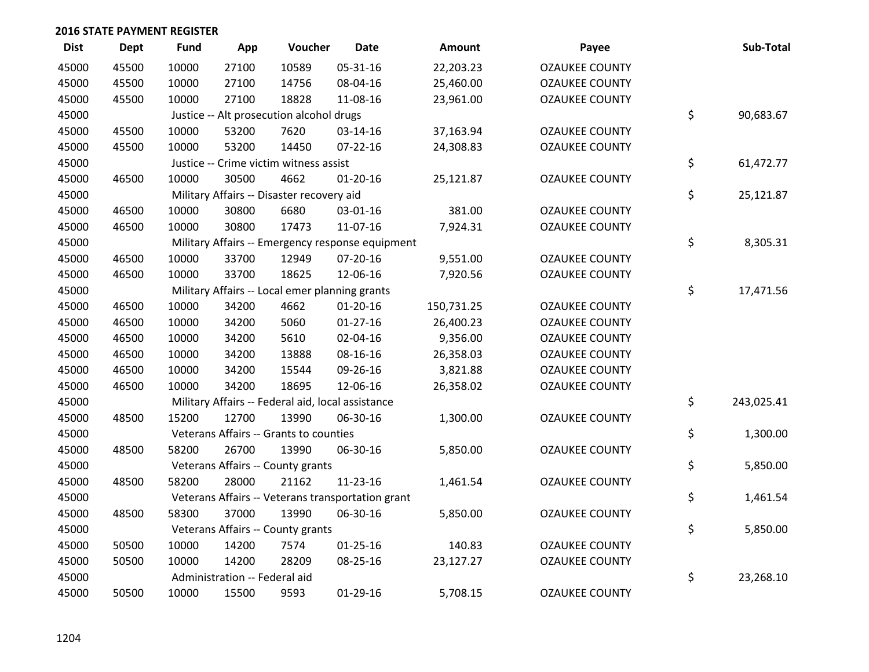| <b>Dist</b> | <b>Dept</b> | <b>Fund</b> | App                           | Voucher                                           | <b>Date</b>                                       | Amount     | Payee                 | Sub-Total        |
|-------------|-------------|-------------|-------------------------------|---------------------------------------------------|---------------------------------------------------|------------|-----------------------|------------------|
| 45000       | 45500       | 10000       | 27100                         | 10589                                             | 05-31-16                                          | 22,203.23  | <b>OZAUKEE COUNTY</b> |                  |
| 45000       | 45500       | 10000       | 27100                         | 14756                                             | 08-04-16                                          | 25,460.00  | <b>OZAUKEE COUNTY</b> |                  |
| 45000       | 45500       | 10000       | 27100                         | 18828                                             | 11-08-16                                          | 23,961.00  | <b>OZAUKEE COUNTY</b> |                  |
| 45000       |             |             |                               | Justice -- Alt prosecution alcohol drugs          |                                                   |            |                       | \$<br>90,683.67  |
| 45000       | 45500       | 10000       | 53200                         | 7620                                              | 03-14-16                                          | 37,163.94  | <b>OZAUKEE COUNTY</b> |                  |
| 45000       | 45500       | 10000       | 53200                         | 14450                                             | $07 - 22 - 16$                                    | 24,308.83  | <b>OZAUKEE COUNTY</b> |                  |
| 45000       |             |             |                               | Justice -- Crime victim witness assist            |                                                   |            |                       | \$<br>61,472.77  |
| 45000       | 46500       | 10000       | 30500                         | 4662                                              | $01-20-16$                                        | 25,121.87  | <b>OZAUKEE COUNTY</b> |                  |
| 45000       |             |             |                               | Military Affairs -- Disaster recovery aid         |                                                   |            |                       | \$<br>25,121.87  |
| 45000       | 46500       | 10000       | 30800                         | 6680                                              | 03-01-16                                          | 381.00     | <b>OZAUKEE COUNTY</b> |                  |
| 45000       | 46500       | 10000       | 30800                         | 17473                                             | 11-07-16                                          | 7,924.31   | <b>OZAUKEE COUNTY</b> |                  |
| 45000       |             |             |                               |                                                   | Military Affairs -- Emergency response equipment  |            |                       | \$<br>8,305.31   |
| 45000       | 46500       | 10000       | 33700                         | 12949                                             | 07-20-16                                          | 9,551.00   | <b>OZAUKEE COUNTY</b> |                  |
| 45000       | 46500       | 10000       | 33700                         | 18625                                             | 12-06-16                                          | 7,920.56   | <b>OZAUKEE COUNTY</b> |                  |
| 45000       |             |             |                               | Military Affairs -- Local emer planning grants    |                                                   |            |                       | \$<br>17,471.56  |
| 45000       | 46500       | 10000       | 34200                         | 4662                                              | $01-20-16$                                        | 150,731.25 | <b>OZAUKEE COUNTY</b> |                  |
| 45000       | 46500       | 10000       | 34200                         | 5060                                              | $01-27-16$                                        | 26,400.23  | <b>OZAUKEE COUNTY</b> |                  |
| 45000       | 46500       | 10000       | 34200                         | 5610                                              | 02-04-16                                          | 9,356.00   | <b>OZAUKEE COUNTY</b> |                  |
| 45000       | 46500       | 10000       | 34200                         | 13888                                             | 08-16-16                                          | 26,358.03  | <b>OZAUKEE COUNTY</b> |                  |
| 45000       | 46500       | 10000       | 34200                         | 15544                                             | 09-26-16                                          | 3,821.88   | <b>OZAUKEE COUNTY</b> |                  |
| 45000       | 46500       | 10000       | 34200                         | 18695                                             | 12-06-16                                          | 26,358.02  | <b>OZAUKEE COUNTY</b> |                  |
| 45000       |             |             |                               | Military Affairs -- Federal aid, local assistance |                                                   |            |                       | \$<br>243,025.41 |
| 45000       | 48500       | 15200       | 12700                         | 13990                                             | 06-30-16                                          | 1,300.00   | <b>OZAUKEE COUNTY</b> |                  |
| 45000       |             |             |                               | Veterans Affairs -- Grants to counties            |                                                   |            |                       | \$<br>1,300.00   |
| 45000       | 48500       | 58200       | 26700                         | 13990                                             | 06-30-16                                          | 5,850.00   | <b>OZAUKEE COUNTY</b> |                  |
| 45000       |             |             |                               | Veterans Affairs -- County grants                 |                                                   |            |                       | \$<br>5,850.00   |
| 45000       | 48500       | 58200       | 28000                         | 21162                                             | 11-23-16                                          | 1,461.54   | <b>OZAUKEE COUNTY</b> |                  |
| 45000       |             |             |                               |                                                   | Veterans Affairs -- Veterans transportation grant |            |                       | \$<br>1,461.54   |
| 45000       | 48500       | 58300       | 37000                         | 13990                                             | 06-30-16                                          | 5,850.00   | <b>OZAUKEE COUNTY</b> |                  |
| 45000       |             |             |                               | Veterans Affairs -- County grants                 |                                                   |            |                       | \$<br>5,850.00   |
| 45000       | 50500       | 10000       | 14200                         | 7574                                              | $01 - 25 - 16$                                    | 140.83     | <b>OZAUKEE COUNTY</b> |                  |
| 45000       | 50500       | 10000       | 14200                         | 28209                                             | 08-25-16                                          | 23,127.27  | <b>OZAUKEE COUNTY</b> |                  |
| 45000       |             |             | Administration -- Federal aid |                                                   |                                                   |            |                       | \$<br>23,268.10  |
| 45000       | 50500       | 10000       | 15500                         | 9593                                              | $01-29-16$                                        | 5,708.15   | <b>OZAUKEE COUNTY</b> |                  |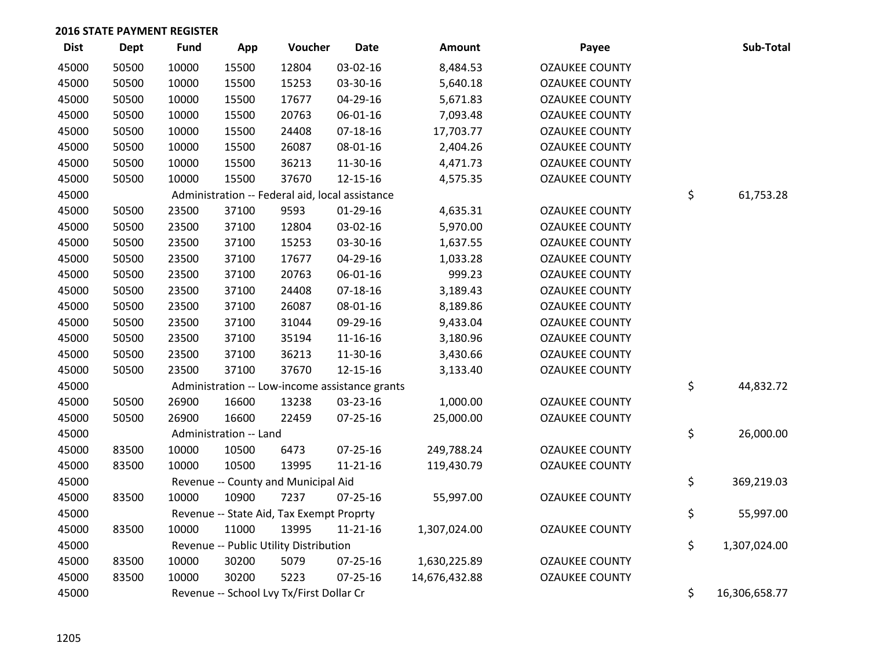| <b>Dist</b> | Dept  | <b>Fund</b> | App                    | Voucher                                         | <b>Date</b>    | Amount        | Payee                 | Sub-Total           |
|-------------|-------|-------------|------------------------|-------------------------------------------------|----------------|---------------|-----------------------|---------------------|
| 45000       | 50500 | 10000       | 15500                  | 12804                                           | 03-02-16       | 8,484.53      | <b>OZAUKEE COUNTY</b> |                     |
| 45000       | 50500 | 10000       | 15500                  | 15253                                           | 03-30-16       | 5,640.18      | <b>OZAUKEE COUNTY</b> |                     |
| 45000       | 50500 | 10000       | 15500                  | 17677                                           | 04-29-16       | 5,671.83      | <b>OZAUKEE COUNTY</b> |                     |
| 45000       | 50500 | 10000       | 15500                  | 20763                                           | 06-01-16       | 7,093.48      | <b>OZAUKEE COUNTY</b> |                     |
| 45000       | 50500 | 10000       | 15500                  | 24408                                           | $07-18-16$     | 17,703.77     | <b>OZAUKEE COUNTY</b> |                     |
| 45000       | 50500 | 10000       | 15500                  | 26087                                           | 08-01-16       | 2,404.26      | <b>OZAUKEE COUNTY</b> |                     |
| 45000       | 50500 | 10000       | 15500                  | 36213                                           | 11-30-16       | 4,471.73      | <b>OZAUKEE COUNTY</b> |                     |
| 45000       | 50500 | 10000       | 15500                  | 37670                                           | 12-15-16       | 4,575.35      | <b>OZAUKEE COUNTY</b> |                     |
| 45000       |       |             |                        | Administration -- Federal aid, local assistance |                |               |                       | \$<br>61,753.28     |
| 45000       | 50500 | 23500       | 37100                  | 9593                                            | $01-29-16$     | 4,635.31      | <b>OZAUKEE COUNTY</b> |                     |
| 45000       | 50500 | 23500       | 37100                  | 12804                                           | 03-02-16       | 5,970.00      | <b>OZAUKEE COUNTY</b> |                     |
| 45000       | 50500 | 23500       | 37100                  | 15253                                           | 03-30-16       | 1,637.55      | <b>OZAUKEE COUNTY</b> |                     |
| 45000       | 50500 | 23500       | 37100                  | 17677                                           | 04-29-16       | 1,033.28      | <b>OZAUKEE COUNTY</b> |                     |
| 45000       | 50500 | 23500       | 37100                  | 20763                                           | 06-01-16       | 999.23        | <b>OZAUKEE COUNTY</b> |                     |
| 45000       | 50500 | 23500       | 37100                  | 24408                                           | $07-18-16$     | 3,189.43      | <b>OZAUKEE COUNTY</b> |                     |
| 45000       | 50500 | 23500       | 37100                  | 26087                                           | 08-01-16       | 8,189.86      | <b>OZAUKEE COUNTY</b> |                     |
| 45000       | 50500 | 23500       | 37100                  | 31044                                           | 09-29-16       | 9,433.04      | <b>OZAUKEE COUNTY</b> |                     |
| 45000       | 50500 | 23500       | 37100                  | 35194                                           | 11-16-16       | 3,180.96      | <b>OZAUKEE COUNTY</b> |                     |
| 45000       | 50500 | 23500       | 37100                  | 36213                                           | 11-30-16       | 3,430.66      | <b>OZAUKEE COUNTY</b> |                     |
| 45000       | 50500 | 23500       | 37100                  | 37670                                           | 12-15-16       | 3,133.40      | <b>OZAUKEE COUNTY</b> |                     |
| 45000       |       |             |                        | Administration -- Low-income assistance grants  |                |               |                       | \$<br>44,832.72     |
| 45000       | 50500 | 26900       | 16600                  | 13238                                           | 03-23-16       | 1,000.00      | <b>OZAUKEE COUNTY</b> |                     |
| 45000       | 50500 | 26900       | 16600                  | 22459                                           | $07 - 25 - 16$ | 25,000.00     | <b>OZAUKEE COUNTY</b> |                     |
| 45000       |       |             | Administration -- Land |                                                 |                |               |                       | \$<br>26,000.00     |
| 45000       | 83500 | 10000       | 10500                  | 6473                                            | $07 - 25 - 16$ | 249,788.24    | <b>OZAUKEE COUNTY</b> |                     |
| 45000       | 83500 | 10000       | 10500                  | 13995                                           | $11 - 21 - 16$ | 119,430.79    | <b>OZAUKEE COUNTY</b> |                     |
| 45000       |       |             |                        | Revenue -- County and Municipal Aid             |                |               |                       | \$<br>369,219.03    |
| 45000       | 83500 | 10000       | 10900                  | 7237                                            | $07 - 25 - 16$ | 55,997.00     | <b>OZAUKEE COUNTY</b> |                     |
| 45000       |       |             |                        | Revenue -- State Aid, Tax Exempt Proprty        |                |               |                       | \$<br>55,997.00     |
| 45000       | 83500 | 10000       | 11000                  | 13995                                           | $11 - 21 - 16$ | 1,307,024.00  | <b>OZAUKEE COUNTY</b> |                     |
| 45000       |       |             |                        | Revenue -- Public Utility Distribution          |                |               |                       | \$<br>1,307,024.00  |
| 45000       | 83500 | 10000       | 30200                  | 5079                                            | 07-25-16       | 1,630,225.89  | <b>OZAUKEE COUNTY</b> |                     |
| 45000       | 83500 | 10000       | 30200                  | 5223                                            | $07 - 25 - 16$ | 14,676,432.88 | <b>OZAUKEE COUNTY</b> |                     |
| 45000       |       |             |                        | Revenue -- School Lvy Tx/First Dollar Cr        |                |               |                       | \$<br>16,306,658.77 |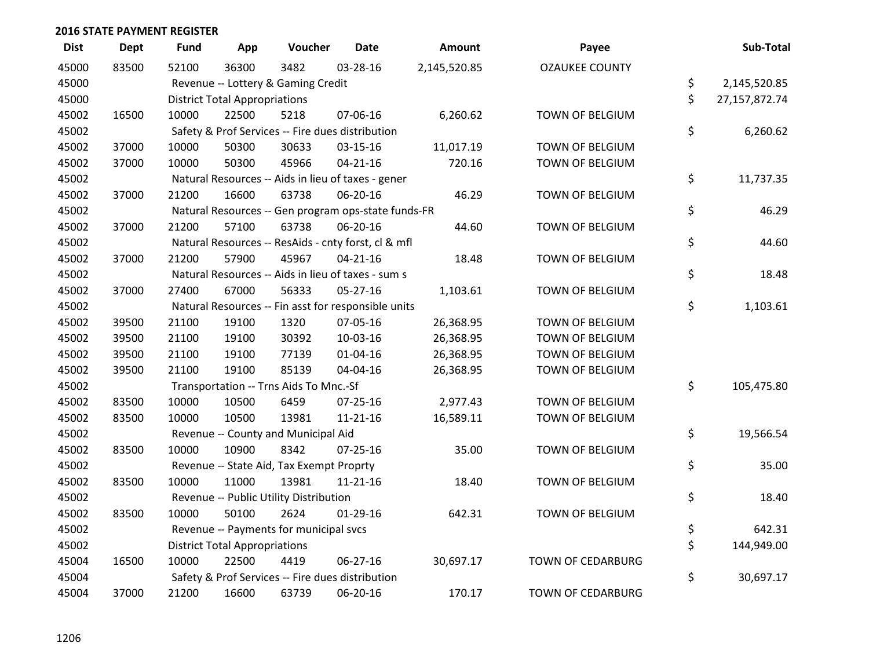| <b>Dist</b> | <b>Dept</b> | <b>Fund</b> | App                                  | Voucher                                             | <b>Date</b>    | <b>Amount</b> | Payee                    | Sub-Total           |
|-------------|-------------|-------------|--------------------------------------|-----------------------------------------------------|----------------|---------------|--------------------------|---------------------|
| 45000       | 83500       | 52100       | 36300                                | 3482                                                | 03-28-16       | 2,145,520.85  | <b>OZAUKEE COUNTY</b>    |                     |
| 45000       |             |             |                                      | Revenue -- Lottery & Gaming Credit                  |                |               |                          | \$<br>2,145,520.85  |
| 45000       |             |             | <b>District Total Appropriations</b> |                                                     |                |               |                          | \$<br>27,157,872.74 |
| 45002       | 16500       | 10000       | 22500                                | 5218                                                | 07-06-16       | 6,260.62      | TOWN OF BELGIUM          |                     |
| 45002       |             |             |                                      | Safety & Prof Services -- Fire dues distribution    |                |               |                          | \$<br>6,260.62      |
| 45002       | 37000       | 10000       | 50300                                | 30633                                               | 03-15-16       | 11,017.19     | TOWN OF BELGIUM          |                     |
| 45002       | 37000       | 10000       | 50300                                | 45966                                               | $04 - 21 - 16$ | 720.16        | TOWN OF BELGIUM          |                     |
| 45002       |             |             |                                      | Natural Resources -- Aids in lieu of taxes - gener  |                |               |                          | \$<br>11,737.35     |
| 45002       | 37000       | 21200       | 16600                                | 63738                                               | 06-20-16       | 46.29         | TOWN OF BELGIUM          |                     |
| 45002       |             |             |                                      | Natural Resources -- Gen program ops-state funds-FR |                |               |                          | \$<br>46.29         |
| 45002       | 37000       | 21200       | 57100                                | 63738                                               | 06-20-16       | 44.60         | TOWN OF BELGIUM          |                     |
| 45002       |             |             |                                      | Natural Resources -- ResAids - cnty forst, cl & mfl |                |               |                          | \$<br>44.60         |
| 45002       | 37000       | 21200       | 57900                                | 45967                                               | $04 - 21 - 16$ | 18.48         | TOWN OF BELGIUM          |                     |
| 45002       |             |             |                                      | Natural Resources -- Aids in lieu of taxes - sum s  |                |               |                          | \$<br>18.48         |
| 45002       | 37000       | 27400       | 67000                                | 56333                                               | $05 - 27 - 16$ | 1,103.61      | TOWN OF BELGIUM          |                     |
| 45002       |             |             |                                      | Natural Resources -- Fin asst for responsible units |                |               |                          | \$<br>1,103.61      |
| 45002       | 39500       | 21100       | 19100                                | 1320                                                | 07-05-16       | 26,368.95     | TOWN OF BELGIUM          |                     |
| 45002       | 39500       | 21100       | 19100                                | 30392                                               | 10-03-16       | 26,368.95     | TOWN OF BELGIUM          |                     |
| 45002       | 39500       | 21100       | 19100                                | 77139                                               | $01 - 04 - 16$ | 26,368.95     | TOWN OF BELGIUM          |                     |
| 45002       | 39500       | 21100       | 19100                                | 85139                                               | 04-04-16       | 26,368.95     | TOWN OF BELGIUM          |                     |
| 45002       |             |             |                                      | Transportation -- Trns Aids To Mnc.-Sf              |                |               |                          | \$<br>105,475.80    |
| 45002       | 83500       | 10000       | 10500                                | 6459                                                | $07 - 25 - 16$ | 2,977.43      | TOWN OF BELGIUM          |                     |
| 45002       | 83500       | 10000       | 10500                                | 13981                                               | $11 - 21 - 16$ | 16,589.11     | TOWN OF BELGIUM          |                     |
| 45002       |             |             |                                      | Revenue -- County and Municipal Aid                 |                |               |                          | \$<br>19,566.54     |
| 45002       | 83500       | 10000       | 10900                                | 8342                                                | $07 - 25 - 16$ | 35.00         | TOWN OF BELGIUM          |                     |
| 45002       |             |             |                                      | Revenue -- State Aid, Tax Exempt Proprty            |                |               |                          | \$<br>35.00         |
| 45002       | 83500       | 10000       | 11000                                | 13981                                               | $11 - 21 - 16$ | 18.40         | TOWN OF BELGIUM          |                     |
| 45002       |             |             |                                      | Revenue -- Public Utility Distribution              |                |               |                          | \$<br>18.40         |
| 45002       | 83500       | 10000       | 50100                                | 2624                                                | $01-29-16$     | 642.31        | TOWN OF BELGIUM          |                     |
| 45002       |             |             |                                      | Revenue -- Payments for municipal svcs              |                |               |                          | \$<br>642.31        |
| 45002       |             |             | <b>District Total Appropriations</b> |                                                     |                |               |                          | \$<br>144,949.00    |
| 45004       | 16500       | 10000       | 22500                                | 4419                                                | 06-27-16       | 30,697.17     | <b>TOWN OF CEDARBURG</b> |                     |
| 45004       |             |             |                                      | Safety & Prof Services -- Fire dues distribution    |                |               |                          | \$<br>30,697.17     |
| 45004       | 37000       | 21200       | 16600                                | 63739                                               | 06-20-16       | 170.17        | TOWN OF CEDARBURG        |                     |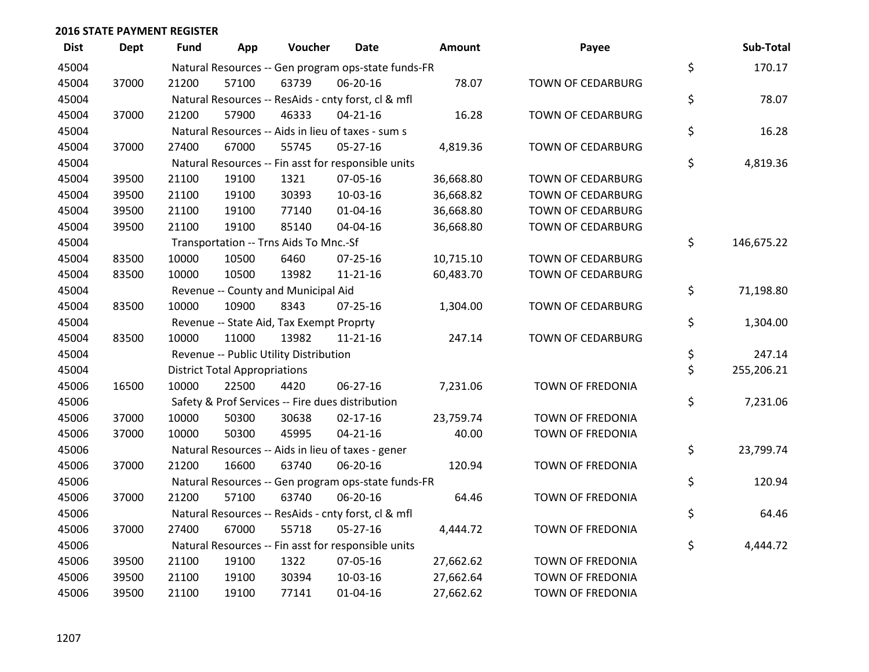| <b>Dist</b> | <b>Dept</b> | <b>Fund</b> | App                                  | Voucher                                             | <b>Date</b>    | Amount    | Payee                    | Sub-Total        |
|-------------|-------------|-------------|--------------------------------------|-----------------------------------------------------|----------------|-----------|--------------------------|------------------|
| 45004       |             |             |                                      | Natural Resources -- Gen program ops-state funds-FR |                |           |                          | \$<br>170.17     |
| 45004       | 37000       | 21200       | 57100                                | 63739                                               | 06-20-16       | 78.07     | TOWN OF CEDARBURG        |                  |
| 45004       |             |             |                                      | Natural Resources -- ResAids - cnty forst, cl & mfl |                |           |                          | \$<br>78.07      |
| 45004       | 37000       | 21200       | 57900                                | 46333                                               | $04 - 21 - 16$ | 16.28     | <b>TOWN OF CEDARBURG</b> |                  |
| 45004       |             |             |                                      | Natural Resources -- Aids in lieu of taxes - sum s  |                |           |                          | \$<br>16.28      |
| 45004       | 37000       | 27400       | 67000                                | 55745                                               | 05-27-16       | 4,819.36  | TOWN OF CEDARBURG        |                  |
| 45004       |             |             |                                      | Natural Resources -- Fin asst for responsible units |                |           |                          | \$<br>4,819.36   |
| 45004       | 39500       | 21100       | 19100                                | 1321                                                | 07-05-16       | 36,668.80 | TOWN OF CEDARBURG        |                  |
| 45004       | 39500       | 21100       | 19100                                | 30393                                               | 10-03-16       | 36,668.82 | <b>TOWN OF CEDARBURG</b> |                  |
| 45004       | 39500       | 21100       | 19100                                | 77140                                               | $01 - 04 - 16$ | 36,668.80 | <b>TOWN OF CEDARBURG</b> |                  |
| 45004       | 39500       | 21100       | 19100                                | 85140                                               | 04-04-16       | 36,668.80 | TOWN OF CEDARBURG        |                  |
| 45004       |             |             |                                      | Transportation -- Trns Aids To Mnc.-Sf              |                |           |                          | \$<br>146,675.22 |
| 45004       | 83500       | 10000       | 10500                                | 6460                                                | $07 - 25 - 16$ | 10,715.10 | TOWN OF CEDARBURG        |                  |
| 45004       | 83500       | 10000       | 10500                                | 13982                                               | $11 - 21 - 16$ | 60,483.70 | <b>TOWN OF CEDARBURG</b> |                  |
| 45004       |             |             |                                      | Revenue -- County and Municipal Aid                 |                |           |                          | \$<br>71,198.80  |
| 45004       | 83500       | 10000       | 10900                                | 8343                                                | $07 - 25 - 16$ | 1,304.00  | TOWN OF CEDARBURG        |                  |
| 45004       |             |             |                                      | Revenue -- State Aid, Tax Exempt Proprty            |                |           |                          | \$<br>1,304.00   |
| 45004       | 83500       | 10000       | 11000                                | 13982                                               | $11 - 21 - 16$ | 247.14    | TOWN OF CEDARBURG        |                  |
| 45004       |             |             |                                      | Revenue -- Public Utility Distribution              |                |           |                          | \$<br>247.14     |
| 45004       |             |             | <b>District Total Appropriations</b> |                                                     |                |           |                          | \$<br>255,206.21 |
| 45006       | 16500       | 10000       | 22500                                | 4420                                                | 06-27-16       | 7,231.06  | TOWN OF FREDONIA         |                  |
| 45006       |             |             |                                      | Safety & Prof Services -- Fire dues distribution    |                |           |                          | \$<br>7,231.06   |
| 45006       | 37000       | 10000       | 50300                                | 30638                                               | $02 - 17 - 16$ | 23,759.74 | TOWN OF FREDONIA         |                  |
| 45006       | 37000       | 10000       | 50300                                | 45995                                               | $04 - 21 - 16$ | 40.00     | TOWN OF FREDONIA         |                  |
| 45006       |             |             |                                      | Natural Resources -- Aids in lieu of taxes - gener  |                |           |                          | \$<br>23,799.74  |
| 45006       | 37000       | 21200       | 16600                                | 63740                                               | 06-20-16       | 120.94    | TOWN OF FREDONIA         |                  |
| 45006       |             |             |                                      | Natural Resources -- Gen program ops-state funds-FR |                |           |                          | \$<br>120.94     |
| 45006       | 37000       | 21200       | 57100                                | 63740                                               | 06-20-16       | 64.46     | TOWN OF FREDONIA         |                  |
| 45006       |             |             |                                      | Natural Resources -- ResAids - cnty forst, cl & mfl |                |           |                          | \$<br>64.46      |
| 45006       | 37000       | 27400       | 67000                                | 55718                                               | 05-27-16       | 4,444.72  | TOWN OF FREDONIA         |                  |
| 45006       |             |             |                                      | Natural Resources -- Fin asst for responsible units |                |           |                          | \$<br>4,444.72   |
| 45006       | 39500       | 21100       | 19100                                | 1322                                                | 07-05-16       | 27,662.62 | TOWN OF FREDONIA         |                  |
| 45006       | 39500       | 21100       | 19100                                | 30394                                               | 10-03-16       | 27,662.64 | TOWN OF FREDONIA         |                  |
| 45006       | 39500       | 21100       | 19100                                | 77141                                               | $01 - 04 - 16$ | 27,662.62 | TOWN OF FREDONIA         |                  |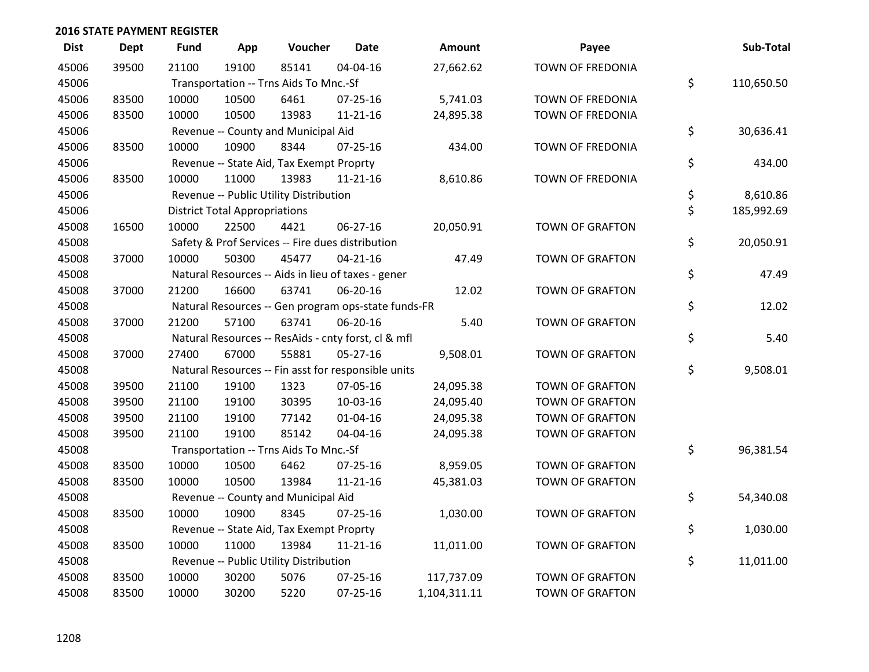| <b>Dist</b> | <b>Dept</b> | <b>Fund</b> | App                                  | Voucher                                             | <b>Date</b>    | Amount       | Payee                   | Sub-Total        |
|-------------|-------------|-------------|--------------------------------------|-----------------------------------------------------|----------------|--------------|-------------------------|------------------|
| 45006       | 39500       | 21100       | 19100                                | 85141                                               | 04-04-16       | 27,662.62    | <b>TOWN OF FREDONIA</b> |                  |
| 45006       |             |             |                                      | Transportation -- Trns Aids To Mnc.-Sf              |                |              |                         | \$<br>110,650.50 |
| 45006       | 83500       | 10000       | 10500                                | 6461                                                | $07 - 25 - 16$ | 5,741.03     | TOWN OF FREDONIA        |                  |
| 45006       | 83500       | 10000       | 10500                                | 13983                                               | $11 - 21 - 16$ | 24,895.38    | <b>TOWN OF FREDONIA</b> |                  |
| 45006       |             |             |                                      | Revenue -- County and Municipal Aid                 |                |              |                         | \$<br>30,636.41  |
| 45006       | 83500       | 10000       | 10900                                | 8344                                                | $07 - 25 - 16$ | 434.00       | TOWN OF FREDONIA        |                  |
| 45006       |             |             |                                      | Revenue -- State Aid, Tax Exempt Proprty            |                |              |                         | \$<br>434.00     |
| 45006       | 83500       | 10000       | 11000                                | 13983                                               | $11 - 21 - 16$ | 8,610.86     | TOWN OF FREDONIA        |                  |
| 45006       |             |             |                                      | Revenue -- Public Utility Distribution              |                |              |                         | \$<br>8,610.86   |
| 45006       |             |             | <b>District Total Appropriations</b> |                                                     |                |              |                         | \$<br>185,992.69 |
| 45008       | 16500       | 10000       | 22500                                | 4421                                                | 06-27-16       | 20,050.91    | <b>TOWN OF GRAFTON</b>  |                  |
| 45008       |             |             |                                      | Safety & Prof Services -- Fire dues distribution    |                |              |                         | \$<br>20,050.91  |
| 45008       | 37000       | 10000       | 50300                                | 45477                                               | $04 - 21 - 16$ | 47.49        | <b>TOWN OF GRAFTON</b>  |                  |
| 45008       |             |             |                                      | Natural Resources -- Aids in lieu of taxes - gener  |                |              |                         | \$<br>47.49      |
| 45008       | 37000       | 21200       | 16600                                | 63741                                               | 06-20-16       | 12.02        | <b>TOWN OF GRAFTON</b>  |                  |
| 45008       |             |             |                                      | Natural Resources -- Gen program ops-state funds-FR |                |              |                         | \$<br>12.02      |
| 45008       | 37000       | 21200       | 57100                                | 63741                                               | 06-20-16       | 5.40         | <b>TOWN OF GRAFTON</b>  |                  |
| 45008       |             |             |                                      | Natural Resources -- ResAids - cnty forst, cl & mfl |                |              |                         | \$<br>5.40       |
| 45008       | 37000       | 27400       | 67000                                | 55881                                               | 05-27-16       | 9,508.01     | <b>TOWN OF GRAFTON</b>  |                  |
| 45008       |             |             |                                      | Natural Resources -- Fin asst for responsible units |                |              |                         | \$<br>9,508.01   |
| 45008       | 39500       | 21100       | 19100                                | 1323                                                | 07-05-16       | 24,095.38    | <b>TOWN OF GRAFTON</b>  |                  |
| 45008       | 39500       | 21100       | 19100                                | 30395                                               | 10-03-16       | 24,095.40    | <b>TOWN OF GRAFTON</b>  |                  |
| 45008       | 39500       | 21100       | 19100                                | 77142                                               | 01-04-16       | 24,095.38    | <b>TOWN OF GRAFTON</b>  |                  |
| 45008       | 39500       | 21100       | 19100                                | 85142                                               | 04-04-16       | 24,095.38    | TOWN OF GRAFTON         |                  |
| 45008       |             |             |                                      | Transportation -- Trns Aids To Mnc.-Sf              |                |              |                         | \$<br>96,381.54  |
| 45008       | 83500       | 10000       | 10500                                | 6462                                                | $07 - 25 - 16$ | 8,959.05     | <b>TOWN OF GRAFTON</b>  |                  |
| 45008       | 83500       | 10000       | 10500                                | 13984                                               | $11 - 21 - 16$ | 45,381.03    | <b>TOWN OF GRAFTON</b>  |                  |
| 45008       |             |             |                                      | Revenue -- County and Municipal Aid                 |                |              |                         | \$<br>54,340.08  |
| 45008       | 83500       | 10000       | 10900                                | 8345                                                | $07 - 25 - 16$ | 1,030.00     | TOWN OF GRAFTON         |                  |
| 45008       |             |             |                                      | Revenue -- State Aid, Tax Exempt Proprty            |                |              |                         | \$<br>1,030.00   |
| 45008       | 83500       | 10000       | 11000                                | 13984                                               | $11 - 21 - 16$ | 11,011.00    | <b>TOWN OF GRAFTON</b>  |                  |
| 45008       |             |             |                                      | Revenue -- Public Utility Distribution              |                |              |                         | \$<br>11,011.00  |
| 45008       | 83500       | 10000       | 30200                                | 5076                                                | $07 - 25 - 16$ | 117,737.09   | <b>TOWN OF GRAFTON</b>  |                  |
| 45008       | 83500       | 10000       | 30200                                | 5220                                                | $07 - 25 - 16$ | 1,104,311.11 | <b>TOWN OF GRAFTON</b>  |                  |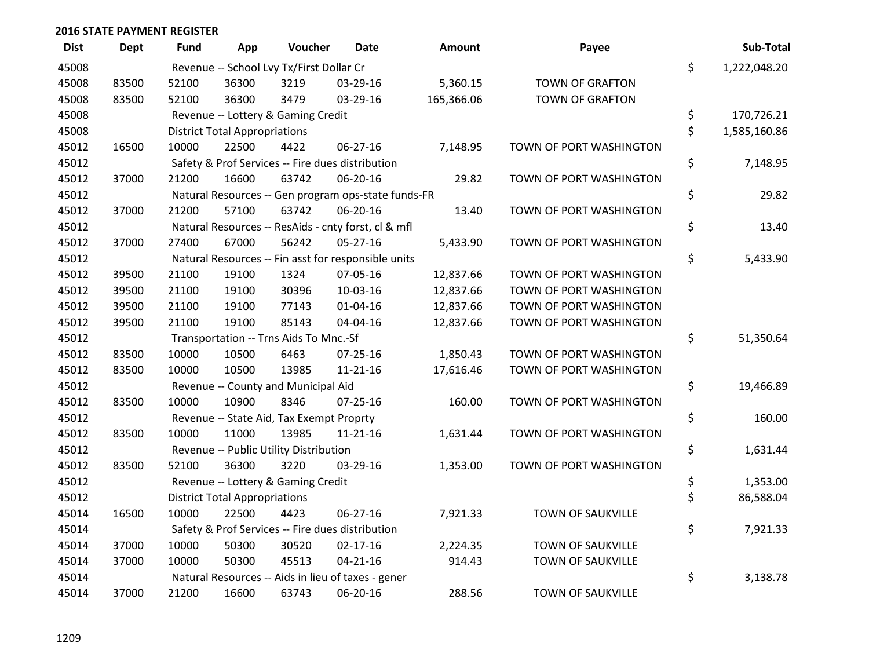| <b>Dist</b> | Dept  | Fund  | App                                  | Voucher                                  | <b>Date</b>                                         | Amount     | Payee                    | Sub-Total          |
|-------------|-------|-------|--------------------------------------|------------------------------------------|-----------------------------------------------------|------------|--------------------------|--------------------|
| 45008       |       |       |                                      | Revenue -- School Lvy Tx/First Dollar Cr |                                                     |            |                          | \$<br>1,222,048.20 |
| 45008       | 83500 | 52100 | 36300                                | 3219                                     | 03-29-16                                            | 5,360.15   | <b>TOWN OF GRAFTON</b>   |                    |
| 45008       | 83500 | 52100 | 36300                                | 3479                                     | 03-29-16                                            | 165,366.06 | <b>TOWN OF GRAFTON</b>   |                    |
| 45008       |       |       |                                      | Revenue -- Lottery & Gaming Credit       |                                                     |            |                          | \$<br>170,726.21   |
| 45008       |       |       | <b>District Total Appropriations</b> |                                          |                                                     |            |                          | \$<br>1,585,160.86 |
| 45012       | 16500 | 10000 | 22500                                | 4422                                     | 06-27-16                                            | 7,148.95   | TOWN OF PORT WASHINGTON  |                    |
| 45012       |       |       |                                      |                                          | Safety & Prof Services -- Fire dues distribution    |            |                          | \$<br>7,148.95     |
| 45012       | 37000 | 21200 | 16600                                | 63742                                    | 06-20-16                                            | 29.82      | TOWN OF PORT WASHINGTON  |                    |
| 45012       |       |       |                                      |                                          | Natural Resources -- Gen program ops-state funds-FR |            |                          | \$<br>29.82        |
| 45012       | 37000 | 21200 | 57100                                | 63742                                    | 06-20-16                                            | 13.40      | TOWN OF PORT WASHINGTON  |                    |
| 45012       |       |       |                                      |                                          | Natural Resources -- ResAids - cnty forst, cl & mfl |            |                          | \$<br>13.40        |
| 45012       | 37000 | 27400 | 67000                                | 56242                                    | $05 - 27 - 16$                                      | 5,433.90   | TOWN OF PORT WASHINGTON  |                    |
| 45012       |       |       |                                      |                                          | Natural Resources -- Fin asst for responsible units |            |                          | \$<br>5,433.90     |
| 45012       | 39500 | 21100 | 19100                                | 1324                                     | 07-05-16                                            | 12,837.66  | TOWN OF PORT WASHINGTON  |                    |
| 45012       | 39500 | 21100 | 19100                                | 30396                                    | 10-03-16                                            | 12,837.66  | TOWN OF PORT WASHINGTON  |                    |
| 45012       | 39500 | 21100 | 19100                                | 77143                                    | $01 - 04 - 16$                                      | 12,837.66  | TOWN OF PORT WASHINGTON  |                    |
| 45012       | 39500 | 21100 | 19100                                | 85143                                    | 04-04-16                                            | 12,837.66  | TOWN OF PORT WASHINGTON  |                    |
| 45012       |       |       |                                      | Transportation -- Trns Aids To Mnc.-Sf   |                                                     |            |                          | \$<br>51,350.64    |
| 45012       | 83500 | 10000 | 10500                                | 6463                                     | $07 - 25 - 16$                                      | 1,850.43   | TOWN OF PORT WASHINGTON  |                    |
| 45012       | 83500 | 10000 | 10500                                | 13985                                    | $11 - 21 - 16$                                      | 17,616.46  | TOWN OF PORT WASHINGTON  |                    |
| 45012       |       |       |                                      | Revenue -- County and Municipal Aid      |                                                     |            |                          | \$<br>19,466.89    |
| 45012       | 83500 | 10000 | 10900                                | 8346                                     | $07 - 25 - 16$                                      | 160.00     | TOWN OF PORT WASHINGTON  |                    |
| 45012       |       |       |                                      | Revenue -- State Aid, Tax Exempt Proprty |                                                     |            |                          | \$<br>160.00       |
| 45012       | 83500 | 10000 | 11000                                | 13985                                    | $11 - 21 - 16$                                      | 1,631.44   | TOWN OF PORT WASHINGTON  |                    |
| 45012       |       |       |                                      | Revenue -- Public Utility Distribution   |                                                     |            |                          | \$<br>1,631.44     |
| 45012       | 83500 | 52100 | 36300                                | 3220                                     | 03-29-16                                            | 1,353.00   | TOWN OF PORT WASHINGTON  |                    |
| 45012       |       |       |                                      | Revenue -- Lottery & Gaming Credit       |                                                     |            |                          | \$<br>1,353.00     |
| 45012       |       |       | <b>District Total Appropriations</b> |                                          |                                                     |            |                          | \$<br>86,588.04    |
| 45014       | 16500 | 10000 | 22500                                | 4423                                     | 06-27-16                                            | 7,921.33   | TOWN OF SAUKVILLE        |                    |
| 45014       |       |       |                                      |                                          | Safety & Prof Services -- Fire dues distribution    |            |                          | \$<br>7,921.33     |
| 45014       | 37000 | 10000 | 50300                                | 30520                                    | $02 - 17 - 16$                                      | 2,224.35   | TOWN OF SAUKVILLE        |                    |
| 45014       | 37000 | 10000 | 50300                                | 45513                                    | $04 - 21 - 16$                                      | 914.43     | TOWN OF SAUKVILLE        |                    |
| 45014       |       |       |                                      |                                          | Natural Resources -- Aids in lieu of taxes - gener  |            |                          | \$<br>3,138.78     |
| 45014       | 37000 | 21200 | 16600                                | 63743                                    | 06-20-16                                            | 288.56     | <b>TOWN OF SAUKVILLE</b> |                    |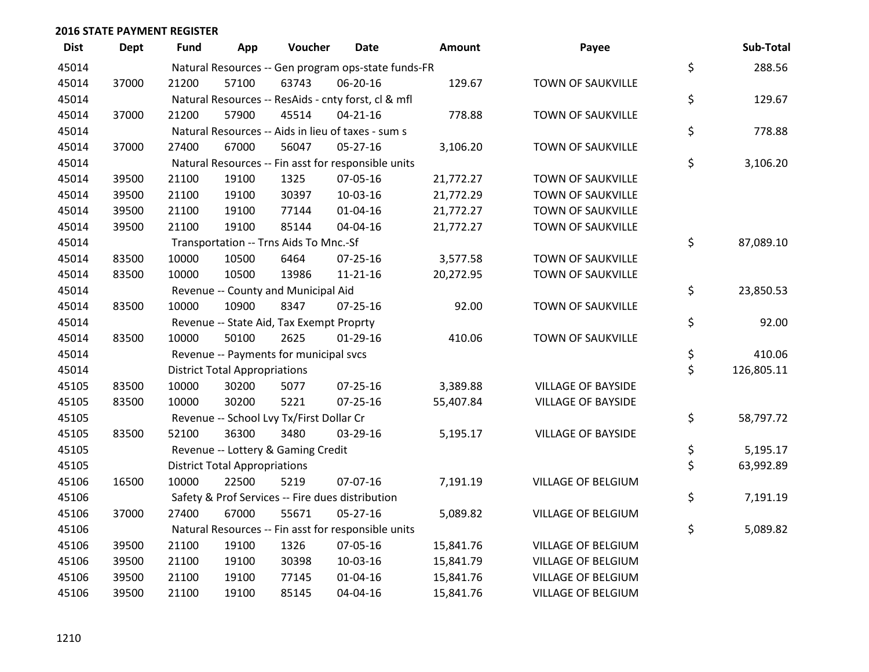| <b>Dist</b> | <b>Dept</b> | <b>Fund</b> | App                                  | Voucher                                             | <b>Date</b>    | Amount    | Payee                     | Sub-Total        |
|-------------|-------------|-------------|--------------------------------------|-----------------------------------------------------|----------------|-----------|---------------------------|------------------|
| 45014       |             |             |                                      | Natural Resources -- Gen program ops-state funds-FR |                |           |                           | \$<br>288.56     |
| 45014       | 37000       | 21200       | 57100                                | 63743                                               | 06-20-16       | 129.67    | TOWN OF SAUKVILLE         |                  |
| 45014       |             |             |                                      | Natural Resources -- ResAids - cnty forst, cl & mfl |                |           |                           | \$<br>129.67     |
| 45014       | 37000       | 21200       | 57900                                | 45514                                               | $04 - 21 - 16$ | 778.88    | <b>TOWN OF SAUKVILLE</b>  |                  |
| 45014       |             |             |                                      | Natural Resources -- Aids in lieu of taxes - sum s  |                |           |                           | \$<br>778.88     |
| 45014       | 37000       | 27400       | 67000                                | 56047                                               | 05-27-16       | 3,106.20  | TOWN OF SAUKVILLE         |                  |
| 45014       |             |             |                                      | Natural Resources -- Fin asst for responsible units |                |           |                           | \$<br>3,106.20   |
| 45014       | 39500       | 21100       | 19100                                | 1325                                                | 07-05-16       | 21,772.27 | <b>TOWN OF SAUKVILLE</b>  |                  |
| 45014       | 39500       | 21100       | 19100                                | 30397                                               | 10-03-16       | 21,772.29 | <b>TOWN OF SAUKVILLE</b>  |                  |
| 45014       | 39500       | 21100       | 19100                                | 77144                                               | $01 - 04 - 16$ | 21,772.27 | TOWN OF SAUKVILLE         |                  |
| 45014       | 39500       | 21100       | 19100                                | 85144                                               | 04-04-16       | 21,772.27 | TOWN OF SAUKVILLE         |                  |
| 45014       |             |             |                                      | Transportation -- Trns Aids To Mnc.-Sf              |                |           |                           | \$<br>87,089.10  |
| 45014       | 83500       | 10000       | 10500                                | 6464                                                | 07-25-16       | 3,577.58  | <b>TOWN OF SAUKVILLE</b>  |                  |
| 45014       | 83500       | 10000       | 10500                                | 13986                                               | $11 - 21 - 16$ | 20,272.95 | <b>TOWN OF SAUKVILLE</b>  |                  |
| 45014       |             |             |                                      | Revenue -- County and Municipal Aid                 |                |           |                           | \$<br>23,850.53  |
| 45014       | 83500       | 10000       | 10900                                | 8347                                                | $07 - 25 - 16$ | 92.00     | <b>TOWN OF SAUKVILLE</b>  |                  |
| 45014       |             |             |                                      | Revenue -- State Aid, Tax Exempt Proprty            |                |           |                           | \$<br>92.00      |
| 45014       | 83500       | 10000       | 50100                                | 2625                                                | $01-29-16$     | 410.06    | TOWN OF SAUKVILLE         |                  |
| 45014       |             |             |                                      | Revenue -- Payments for municipal svcs              |                |           |                           | \$<br>410.06     |
| 45014       |             |             | <b>District Total Appropriations</b> |                                                     |                |           |                           | \$<br>126,805.11 |
| 45105       | 83500       | 10000       | 30200                                | 5077                                                | $07 - 25 - 16$ | 3,389.88  | <b>VILLAGE OF BAYSIDE</b> |                  |
| 45105       | 83500       | 10000       | 30200                                | 5221                                                | $07 - 25 - 16$ | 55,407.84 | <b>VILLAGE OF BAYSIDE</b> |                  |
| 45105       |             |             |                                      | Revenue -- School Lvy Tx/First Dollar Cr            |                |           |                           | \$<br>58,797.72  |
| 45105       | 83500       | 52100       | 36300                                | 3480                                                | 03-29-16       | 5,195.17  | <b>VILLAGE OF BAYSIDE</b> |                  |
| 45105       |             |             |                                      | Revenue -- Lottery & Gaming Credit                  |                |           |                           | \$<br>5,195.17   |
| 45105       |             |             | <b>District Total Appropriations</b> |                                                     |                |           |                           | \$<br>63,992.89  |
| 45106       | 16500       | 10000       | 22500                                | 5219                                                | 07-07-16       | 7,191.19  | VILLAGE OF BELGIUM        |                  |
| 45106       |             |             |                                      | Safety & Prof Services -- Fire dues distribution    |                |           |                           | \$<br>7,191.19   |
| 45106       | 37000       | 27400       | 67000                                | 55671                                               | 05-27-16       | 5,089.82  | VILLAGE OF BELGIUM        |                  |
| 45106       |             |             |                                      | Natural Resources -- Fin asst for responsible units |                |           |                           | \$<br>5,089.82   |
| 45106       | 39500       | 21100       | 19100                                | 1326                                                | 07-05-16       | 15,841.76 | <b>VILLAGE OF BELGIUM</b> |                  |
| 45106       | 39500       | 21100       | 19100                                | 30398                                               | 10-03-16       | 15,841.79 | VILLAGE OF BELGIUM        |                  |
| 45106       | 39500       | 21100       | 19100                                | 77145                                               | $01 - 04 - 16$ | 15,841.76 | VILLAGE OF BELGIUM        |                  |
| 45106       | 39500       | 21100       | 19100                                | 85145                                               | 04-04-16       | 15,841.76 | VILLAGE OF BELGIUM        |                  |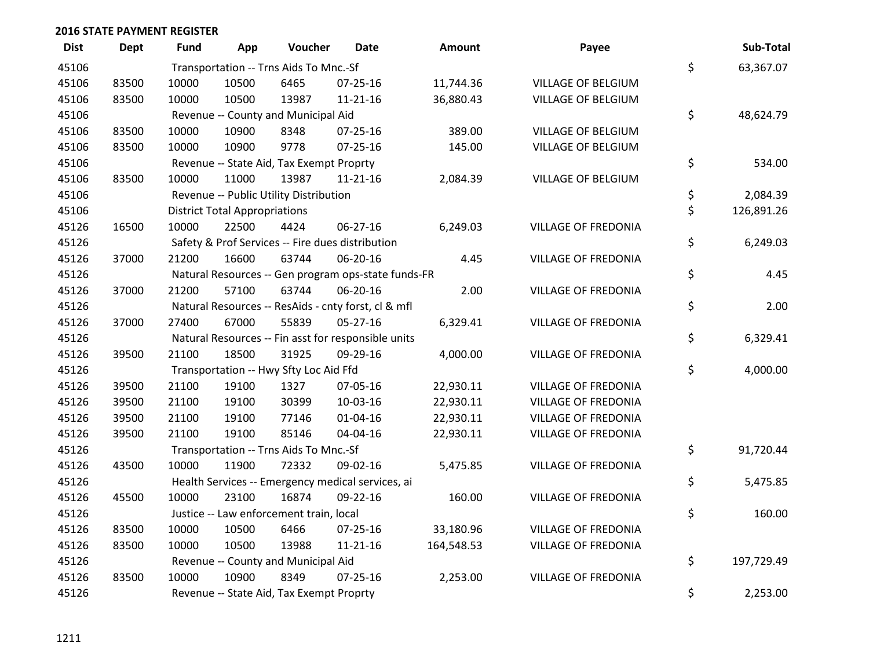| <b>Dist</b> | Dept  | Fund  | App                                  | Voucher                                  | <b>Date</b>                                         | <b>Amount</b> | Payee                      | Sub-Total        |
|-------------|-------|-------|--------------------------------------|------------------------------------------|-----------------------------------------------------|---------------|----------------------------|------------------|
| 45106       |       |       |                                      | Transportation -- Trns Aids To Mnc.-Sf   |                                                     |               |                            | \$<br>63,367.07  |
| 45106       | 83500 | 10000 | 10500                                | 6465                                     | 07-25-16                                            | 11,744.36     | VILLAGE OF BELGIUM         |                  |
| 45106       | 83500 | 10000 | 10500                                | 13987                                    | $11 - 21 - 16$                                      | 36,880.43     | VILLAGE OF BELGIUM         |                  |
| 45106       |       |       |                                      | Revenue -- County and Municipal Aid      |                                                     |               |                            | \$<br>48,624.79  |
| 45106       | 83500 | 10000 | 10900                                | 8348                                     | $07 - 25 - 16$                                      | 389.00        | <b>VILLAGE OF BELGIUM</b>  |                  |
| 45106       | 83500 | 10000 | 10900                                | 9778                                     | $07 - 25 - 16$                                      | 145.00        | VILLAGE OF BELGIUM         |                  |
| 45106       |       |       |                                      | Revenue -- State Aid, Tax Exempt Proprty |                                                     |               |                            | \$<br>534.00     |
| 45106       | 83500 | 10000 | 11000                                | 13987                                    | $11 - 21 - 16$                                      | 2,084.39      | <b>VILLAGE OF BELGIUM</b>  |                  |
| 45106       |       |       |                                      | Revenue -- Public Utility Distribution   |                                                     |               |                            | \$<br>2,084.39   |
| 45106       |       |       | <b>District Total Appropriations</b> |                                          |                                                     |               |                            | \$<br>126,891.26 |
| 45126       | 16500 | 10000 | 22500                                | 4424                                     | 06-27-16                                            | 6,249.03      | <b>VILLAGE OF FREDONIA</b> |                  |
| 45126       |       |       |                                      |                                          | Safety & Prof Services -- Fire dues distribution    |               |                            | \$<br>6,249.03   |
| 45126       | 37000 | 21200 | 16600                                | 63744                                    | 06-20-16                                            | 4.45          | <b>VILLAGE OF FREDONIA</b> |                  |
| 45126       |       |       |                                      |                                          | Natural Resources -- Gen program ops-state funds-FR |               |                            | \$<br>4.45       |
| 45126       | 37000 | 21200 | 57100                                | 63744                                    | 06-20-16                                            | 2.00          | <b>VILLAGE OF FREDONIA</b> |                  |
| 45126       |       |       |                                      |                                          | Natural Resources -- ResAids - cnty forst, cl & mfl |               |                            | \$<br>2.00       |
| 45126       | 37000 | 27400 | 67000                                | 55839                                    | $05 - 27 - 16$                                      | 6,329.41      | <b>VILLAGE OF FREDONIA</b> |                  |
| 45126       |       |       |                                      |                                          | Natural Resources -- Fin asst for responsible units |               |                            | \$<br>6,329.41   |
| 45126       | 39500 | 21100 | 18500                                | 31925                                    | 09-29-16                                            | 4,000.00      | <b>VILLAGE OF FREDONIA</b> |                  |
| 45126       |       |       |                                      | Transportation -- Hwy Sfty Loc Aid Ffd   |                                                     |               |                            | \$<br>4,000.00   |
| 45126       | 39500 | 21100 | 19100                                | 1327                                     | 07-05-16                                            | 22,930.11     | <b>VILLAGE OF FREDONIA</b> |                  |
| 45126       | 39500 | 21100 | 19100                                | 30399                                    | 10-03-16                                            | 22,930.11     | <b>VILLAGE OF FREDONIA</b> |                  |
| 45126       | 39500 | 21100 | 19100                                | 77146                                    | $01 - 04 - 16$                                      | 22,930.11     | <b>VILLAGE OF FREDONIA</b> |                  |
| 45126       | 39500 | 21100 | 19100                                | 85146                                    | 04-04-16                                            | 22,930.11     | <b>VILLAGE OF FREDONIA</b> |                  |
| 45126       |       |       |                                      | Transportation -- Trns Aids To Mnc.-Sf   |                                                     |               |                            | \$<br>91,720.44  |
| 45126       | 43500 | 10000 | 11900                                | 72332                                    | 09-02-16                                            | 5,475.85      | <b>VILLAGE OF FREDONIA</b> |                  |
| 45126       |       |       |                                      |                                          | Health Services -- Emergency medical services, ai   |               |                            | \$<br>5,475.85   |
| 45126       | 45500 | 10000 | 23100                                | 16874                                    | 09-22-16                                            | 160.00        | <b>VILLAGE OF FREDONIA</b> |                  |
| 45126       |       |       |                                      | Justice -- Law enforcement train, local  |                                                     |               |                            | \$<br>160.00     |
| 45126       | 83500 | 10000 | 10500                                | 6466                                     | 07-25-16                                            | 33,180.96     | <b>VILLAGE OF FREDONIA</b> |                  |
| 45126       | 83500 | 10000 | 10500                                | 13988                                    | $11 - 21 - 16$                                      | 164,548.53    | <b>VILLAGE OF FREDONIA</b> |                  |
| 45126       |       |       |                                      | Revenue -- County and Municipal Aid      |                                                     |               |                            | \$<br>197,729.49 |
| 45126       | 83500 | 10000 | 10900                                | 8349                                     | $07 - 25 - 16$                                      | 2,253.00      | <b>VILLAGE OF FREDONIA</b> |                  |
| 45126       |       |       |                                      | Revenue -- State Aid, Tax Exempt Proprty |                                                     |               |                            | \$<br>2,253.00   |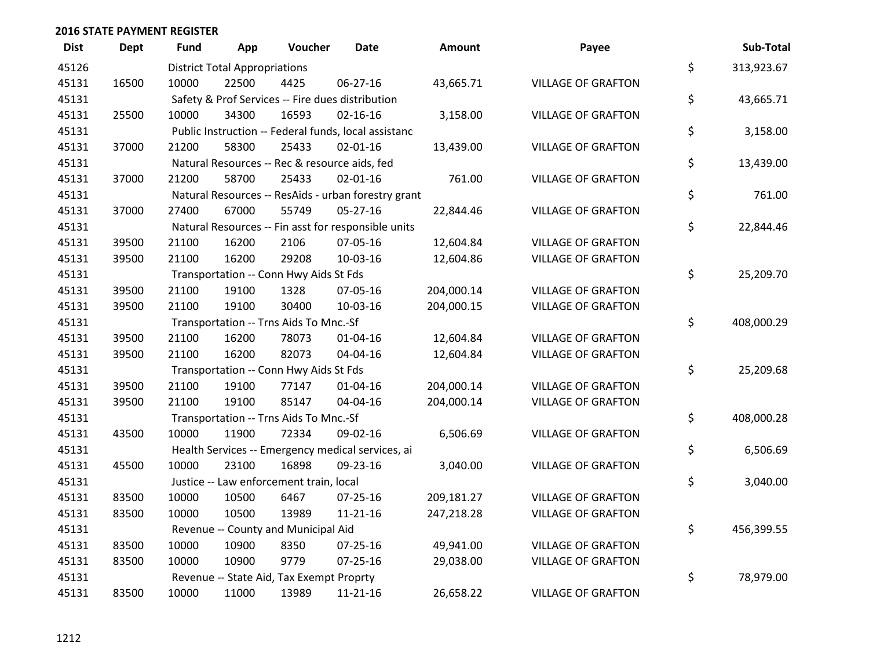| <b>Dist</b> | <b>Dept</b> | <b>Fund</b> | App                                  | Voucher                                              | <b>Date</b>    | <b>Amount</b> | Payee                     | Sub-Total        |
|-------------|-------------|-------------|--------------------------------------|------------------------------------------------------|----------------|---------------|---------------------------|------------------|
| 45126       |             |             | <b>District Total Appropriations</b> |                                                      |                |               |                           | \$<br>313,923.67 |
| 45131       | 16500       | 10000       | 22500                                | 4425                                                 | 06-27-16       | 43,665.71     | <b>VILLAGE OF GRAFTON</b> |                  |
| 45131       |             |             |                                      | Safety & Prof Services -- Fire dues distribution     |                |               |                           | \$<br>43,665.71  |
| 45131       | 25500       | 10000       | 34300                                | 16593                                                | $02 - 16 - 16$ | 3,158.00      | <b>VILLAGE OF GRAFTON</b> |                  |
| 45131       |             |             |                                      | Public Instruction -- Federal funds, local assistanc |                |               |                           | \$<br>3,158.00   |
| 45131       | 37000       | 21200       | 58300                                | 25433                                                | 02-01-16       | 13,439.00     | <b>VILLAGE OF GRAFTON</b> |                  |
| 45131       |             |             |                                      | Natural Resources -- Rec & resource aids, fed        |                |               |                           | \$<br>13,439.00  |
| 45131       | 37000       | 21200       | 58700                                | 25433                                                | $02 - 01 - 16$ | 761.00        | <b>VILLAGE OF GRAFTON</b> |                  |
| 45131       |             |             |                                      | Natural Resources -- ResAids - urban forestry grant  |                |               |                           | \$<br>761.00     |
| 45131       | 37000       | 27400       | 67000                                | 55749                                                | 05-27-16       | 22,844.46     | <b>VILLAGE OF GRAFTON</b> |                  |
| 45131       |             |             |                                      | Natural Resources -- Fin asst for responsible units  |                |               |                           | \$<br>22,844.46  |
| 45131       | 39500       | 21100       | 16200                                | 2106                                                 | 07-05-16       | 12,604.84     | <b>VILLAGE OF GRAFTON</b> |                  |
| 45131       | 39500       | 21100       | 16200                                | 29208                                                | 10-03-16       | 12,604.86     | <b>VILLAGE OF GRAFTON</b> |                  |
| 45131       |             |             |                                      | Transportation -- Conn Hwy Aids St Fds               |                |               |                           | \$<br>25,209.70  |
| 45131       | 39500       | 21100       | 19100                                | 1328                                                 | 07-05-16       | 204,000.14    | <b>VILLAGE OF GRAFTON</b> |                  |
| 45131       | 39500       | 21100       | 19100                                | 30400                                                | 10-03-16       | 204,000.15    | <b>VILLAGE OF GRAFTON</b> |                  |
| 45131       |             |             |                                      | Transportation -- Trns Aids To Mnc.-Sf               |                |               |                           | \$<br>408,000.29 |
| 45131       | 39500       | 21100       | 16200                                | 78073                                                | 01-04-16       | 12,604.84     | <b>VILLAGE OF GRAFTON</b> |                  |
| 45131       | 39500       | 21100       | 16200                                | 82073                                                | 04-04-16       | 12,604.84     | <b>VILLAGE OF GRAFTON</b> |                  |
| 45131       |             |             |                                      | Transportation -- Conn Hwy Aids St Fds               |                |               |                           | \$<br>25,209.68  |
| 45131       | 39500       | 21100       | 19100                                | 77147                                                | $01 - 04 - 16$ | 204,000.14    | <b>VILLAGE OF GRAFTON</b> |                  |
| 45131       | 39500       | 21100       | 19100                                | 85147                                                | 04-04-16       | 204,000.14    | <b>VILLAGE OF GRAFTON</b> |                  |
| 45131       |             |             |                                      | Transportation -- Trns Aids To Mnc.-Sf               |                |               |                           | \$<br>408,000.28 |
| 45131       | 43500       | 10000       | 11900                                | 72334                                                | 09-02-16       | 6,506.69      | <b>VILLAGE OF GRAFTON</b> |                  |
| 45131       |             |             |                                      | Health Services -- Emergency medical services, ai    |                |               |                           | \$<br>6,506.69   |
| 45131       | 45500       | 10000       | 23100                                | 16898                                                | 09-23-16       | 3,040.00      | <b>VILLAGE OF GRAFTON</b> |                  |
| 45131       |             |             |                                      | Justice -- Law enforcement train, local              |                |               |                           | \$<br>3,040.00   |
| 45131       | 83500       | 10000       | 10500                                | 6467                                                 | 07-25-16       | 209,181.27    | <b>VILLAGE OF GRAFTON</b> |                  |
| 45131       | 83500       | 10000       | 10500                                | 13989                                                | $11 - 21 - 16$ | 247,218.28    | <b>VILLAGE OF GRAFTON</b> |                  |
| 45131       |             |             |                                      | Revenue -- County and Municipal Aid                  |                |               |                           | \$<br>456,399.55 |
| 45131       | 83500       | 10000       | 10900                                | 8350                                                 | 07-25-16       | 49,941.00     | <b>VILLAGE OF GRAFTON</b> |                  |
| 45131       | 83500       | 10000       | 10900                                | 9779                                                 | $07 - 25 - 16$ | 29,038.00     | <b>VILLAGE OF GRAFTON</b> |                  |
| 45131       |             |             |                                      | Revenue -- State Aid, Tax Exempt Proprty             |                |               |                           | \$<br>78,979.00  |
| 45131       | 83500       | 10000       | 11000                                | 13989                                                | 11-21-16       | 26,658.22     | <b>VILLAGE OF GRAFTON</b> |                  |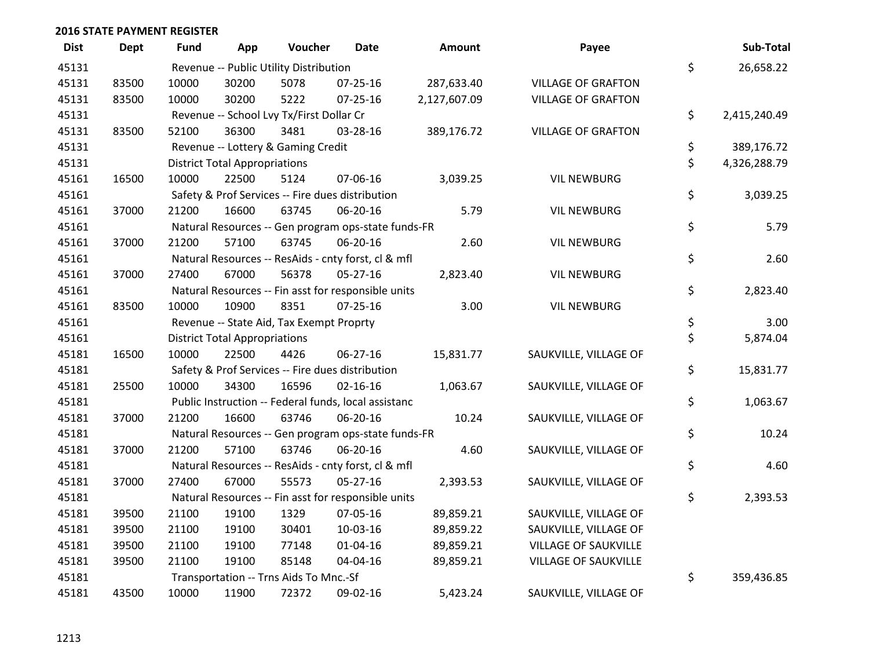| <b>Dist</b> | <b>Dept</b> | Fund  | App                                  | Voucher                                              | Date           | <b>Amount</b> | Payee                       | Sub-Total          |
|-------------|-------------|-------|--------------------------------------|------------------------------------------------------|----------------|---------------|-----------------------------|--------------------|
| 45131       |             |       |                                      | Revenue -- Public Utility Distribution               |                |               |                             | \$<br>26,658.22    |
| 45131       | 83500       | 10000 | 30200                                | 5078                                                 | 07-25-16       | 287,633.40    | <b>VILLAGE OF GRAFTON</b>   |                    |
| 45131       | 83500       | 10000 | 30200                                | 5222                                                 | $07 - 25 - 16$ | 2,127,607.09  | <b>VILLAGE OF GRAFTON</b>   |                    |
| 45131       |             |       |                                      | Revenue -- School Lvy Tx/First Dollar Cr             |                |               |                             | \$<br>2,415,240.49 |
| 45131       | 83500       | 52100 | 36300                                | 3481                                                 | 03-28-16       | 389,176.72    | <b>VILLAGE OF GRAFTON</b>   |                    |
| 45131       |             |       |                                      | Revenue -- Lottery & Gaming Credit                   |                |               |                             | \$<br>389,176.72   |
| 45131       |             |       | <b>District Total Appropriations</b> |                                                      |                |               |                             | \$<br>4,326,288.79 |
| 45161       | 16500       | 10000 | 22500                                | 5124                                                 | 07-06-16       | 3,039.25      | <b>VIL NEWBURG</b>          |                    |
| 45161       |             |       |                                      | Safety & Prof Services -- Fire dues distribution     |                |               |                             | \$<br>3,039.25     |
| 45161       | 37000       | 21200 | 16600                                | 63745                                                | 06-20-16       | 5.79          | <b>VIL NEWBURG</b>          |                    |
| 45161       |             |       |                                      | Natural Resources -- Gen program ops-state funds-FR  |                |               |                             | \$<br>5.79         |
| 45161       | 37000       | 21200 | 57100                                | 63745                                                | 06-20-16       | 2.60          | <b>VIL NEWBURG</b>          |                    |
| 45161       |             |       |                                      | Natural Resources -- ResAids - cnty forst, cl & mfl  |                |               |                             | \$<br>2.60         |
| 45161       | 37000       | 27400 | 67000                                | 56378                                                | 05-27-16       | 2,823.40      | <b>VIL NEWBURG</b>          |                    |
| 45161       |             |       |                                      | Natural Resources -- Fin asst for responsible units  |                |               |                             | \$<br>2,823.40     |
| 45161       | 83500       | 10000 | 10900                                | 8351                                                 | 07-25-16       | 3.00          | <b>VIL NEWBURG</b>          |                    |
| 45161       |             |       |                                      | Revenue -- State Aid, Tax Exempt Proprty             |                |               |                             | \$<br>3.00         |
| 45161       |             |       | <b>District Total Appropriations</b> |                                                      |                |               |                             | \$<br>5,874.04     |
| 45181       | 16500       | 10000 | 22500                                | 4426                                                 | 06-27-16       | 15,831.77     | SAUKVILLE, VILLAGE OF       |                    |
| 45181       |             |       |                                      | Safety & Prof Services -- Fire dues distribution     |                |               |                             | \$<br>15,831.77    |
| 45181       | 25500       | 10000 | 34300                                | 16596                                                | $02 - 16 - 16$ | 1,063.67      | SAUKVILLE, VILLAGE OF       |                    |
| 45181       |             |       |                                      | Public Instruction -- Federal funds, local assistanc |                |               |                             | \$<br>1,063.67     |
| 45181       | 37000       | 21200 | 16600                                | 63746                                                | 06-20-16       | 10.24         | SAUKVILLE, VILLAGE OF       |                    |
| 45181       |             |       |                                      | Natural Resources -- Gen program ops-state funds-FR  |                |               |                             | \$<br>10.24        |
| 45181       | 37000       | 21200 | 57100                                | 63746                                                | 06-20-16       | 4.60          | SAUKVILLE, VILLAGE OF       |                    |
| 45181       |             |       |                                      | Natural Resources -- ResAids - cnty forst, cl & mfl  |                |               |                             | \$<br>4.60         |
| 45181       | 37000       | 27400 | 67000                                | 55573                                                | 05-27-16       | 2,393.53      | SAUKVILLE, VILLAGE OF       |                    |
| 45181       |             |       |                                      | Natural Resources -- Fin asst for responsible units  |                |               |                             | \$<br>2,393.53     |
| 45181       | 39500       | 21100 | 19100                                | 1329                                                 | 07-05-16       | 89,859.21     | SAUKVILLE, VILLAGE OF       |                    |
| 45181       | 39500       | 21100 | 19100                                | 30401                                                | 10-03-16       | 89,859.22     | SAUKVILLE, VILLAGE OF       |                    |
| 45181       | 39500       | 21100 | 19100                                | 77148                                                | 01-04-16       | 89,859.21     | VILLAGE OF SAUKVILLE        |                    |
| 45181       | 39500       | 21100 | 19100                                | 85148                                                | 04-04-16       | 89,859.21     | <b>VILLAGE OF SAUKVILLE</b> |                    |
| 45181       |             |       |                                      | Transportation -- Trns Aids To Mnc.-Sf               |                |               |                             | \$<br>359,436.85   |
| 45181       | 43500       | 10000 | 11900                                | 72372                                                | 09-02-16       | 5,423.24      | SAUKVILLE, VILLAGE OF       |                    |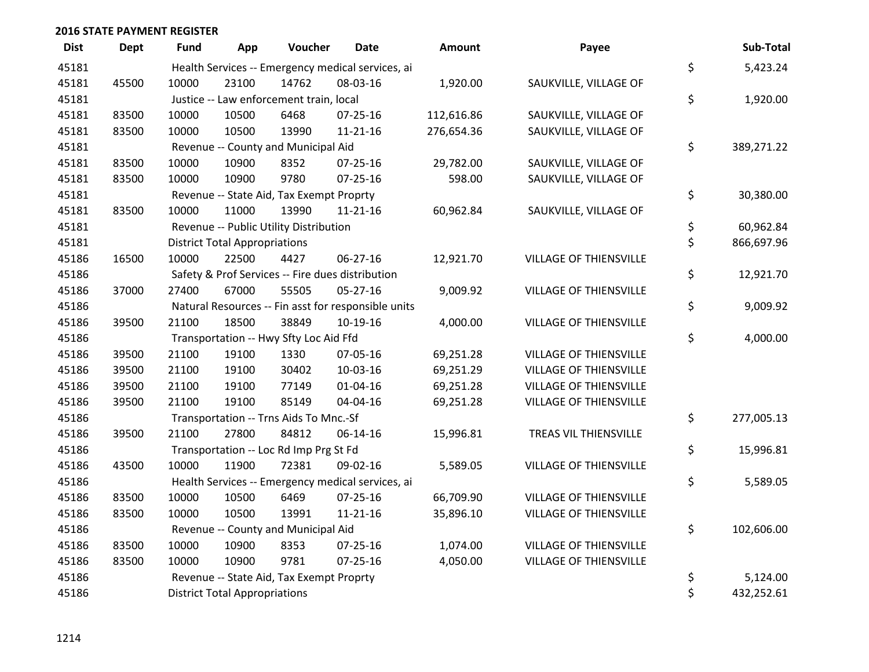| <b>Dist</b> | <b>Dept</b> | Fund                                 | App                                               | Voucher                                  | <b>Date</b>                                         | Amount     | Payee                         |    | Sub-Total  |  |
|-------------|-------------|--------------------------------------|---------------------------------------------------|------------------------------------------|-----------------------------------------------------|------------|-------------------------------|----|------------|--|
| 45181       |             |                                      | Health Services -- Emergency medical services, ai |                                          |                                                     |            |                               |    |            |  |
| 45181       | 45500       | 10000                                | 23100                                             | 14762                                    | 08-03-16                                            | 1,920.00   | SAUKVILLE, VILLAGE OF         | \$ |            |  |
| 45181       |             |                                      |                                                   | Justice -- Law enforcement train, local  |                                                     |            |                               | \$ | 1,920.00   |  |
| 45181       | 83500       | 10000                                | 10500                                             | 6468                                     | 07-25-16                                            | 112,616.86 | SAUKVILLE, VILLAGE OF         |    |            |  |
| 45181       | 83500       | 10000                                | 10500                                             | 13990                                    | $11 - 21 - 16$                                      | 276,654.36 | SAUKVILLE, VILLAGE OF         |    |            |  |
| 45181       |             |                                      |                                                   | Revenue -- County and Municipal Aid      |                                                     |            |                               | \$ | 389,271.22 |  |
| 45181       | 83500       | 10000                                | 10900                                             | 8352                                     | $07 - 25 - 16$                                      | 29,782.00  | SAUKVILLE, VILLAGE OF         |    |            |  |
| 45181       | 83500       | 10000                                | 10900                                             | 9780                                     | $07 - 25 - 16$                                      | 598.00     | SAUKVILLE, VILLAGE OF         |    |            |  |
| 45181       |             |                                      |                                                   | Revenue -- State Aid, Tax Exempt Proprty |                                                     |            |                               | \$ | 30,380.00  |  |
| 45181       | 83500       | 10000                                | 11000                                             | 13990                                    | $11 - 21 - 16$                                      | 60,962.84  | SAUKVILLE, VILLAGE OF         |    |            |  |
| 45181       |             |                                      |                                                   | Revenue -- Public Utility Distribution   |                                                     |            |                               | \$ | 60,962.84  |  |
| 45181       |             | <b>District Total Appropriations</b> |                                                   |                                          |                                                     |            |                               | \$ | 866,697.96 |  |
| 45186       | 16500       | 10000                                | 22500                                             | 4427                                     | 06-27-16                                            | 12,921.70  | VILLAGE OF THIENSVILLE        |    |            |  |
| 45186       |             |                                      |                                                   |                                          | Safety & Prof Services -- Fire dues distribution    |            |                               | \$ | 12,921.70  |  |
| 45186       | 37000       | 27400                                | 67000                                             | 55505                                    | $05 - 27 - 16$                                      | 9,009.92   | VILLAGE OF THIENSVILLE        |    |            |  |
| 45186       |             |                                      |                                                   |                                          | Natural Resources -- Fin asst for responsible units |            |                               | \$ | 9,009.92   |  |
| 45186       | 39500       | 21100                                | 18500                                             | 38849                                    | $10-19-16$                                          | 4,000.00   | <b>VILLAGE OF THIENSVILLE</b> |    |            |  |
| 45186       |             |                                      |                                                   | Transportation -- Hwy Sfty Loc Aid Ffd   |                                                     |            |                               | \$ | 4,000.00   |  |
| 45186       | 39500       | 21100                                | 19100                                             | 1330                                     | 07-05-16                                            | 69,251.28  | VILLAGE OF THIENSVILLE        |    |            |  |
| 45186       | 39500       | 21100                                | 19100                                             | 30402                                    | 10-03-16                                            | 69,251.29  | VILLAGE OF THIENSVILLE        |    |            |  |
| 45186       | 39500       | 21100                                | 19100                                             | 77149                                    | $01 - 04 - 16$                                      | 69,251.28  | <b>VILLAGE OF THIENSVILLE</b> |    |            |  |
| 45186       | 39500       | 21100                                | 19100                                             | 85149                                    | 04-04-16                                            | 69,251.28  | VILLAGE OF THIENSVILLE        |    |            |  |
| 45186       |             |                                      |                                                   | Transportation -- Trns Aids To Mnc.-Sf   |                                                     |            |                               | \$ | 277,005.13 |  |
| 45186       | 39500       | 21100                                | 27800                                             | 84812                                    | $06 - 14 - 16$                                      | 15,996.81  | TREAS VIL THIENSVILLE         |    |            |  |
| 45186       |             |                                      |                                                   | Transportation -- Loc Rd Imp Prg St Fd   |                                                     |            |                               | \$ | 15,996.81  |  |
| 45186       | 43500       | 10000                                | 11900                                             | 72381                                    | 09-02-16                                            | 5,589.05   | VILLAGE OF THIENSVILLE        |    |            |  |
| 45186       |             |                                      |                                                   |                                          | Health Services -- Emergency medical services, ai   |            |                               | \$ | 5,589.05   |  |
| 45186       | 83500       | 10000                                | 10500                                             | 6469                                     | $07 - 25 - 16$                                      | 66,709.90  | VILLAGE OF THIENSVILLE        |    |            |  |
| 45186       | 83500       | 10000                                | 10500                                             | 13991                                    | $11 - 21 - 16$                                      | 35,896.10  | VILLAGE OF THIENSVILLE        |    |            |  |
| 45186       |             |                                      |                                                   | Revenue -- County and Municipal Aid      |                                                     |            |                               | \$ | 102,606.00 |  |
| 45186       | 83500       | 10000                                | 10900                                             | 8353                                     | $07 - 25 - 16$                                      | 1,074.00   | <b>VILLAGE OF THIENSVILLE</b> |    |            |  |
| 45186       | 83500       | 10000                                | 10900                                             | 9781                                     | $07 - 25 - 16$                                      | 4,050.00   | VILLAGE OF THIENSVILLE        |    |            |  |
| 45186       |             |                                      |                                                   | Revenue -- State Aid, Tax Exempt Proprty |                                                     |            |                               | \$ | 5,124.00   |  |
| 45186       |             | <b>District Total Appropriations</b> |                                                   |                                          |                                                     |            |                               | \$ | 432,252.61 |  |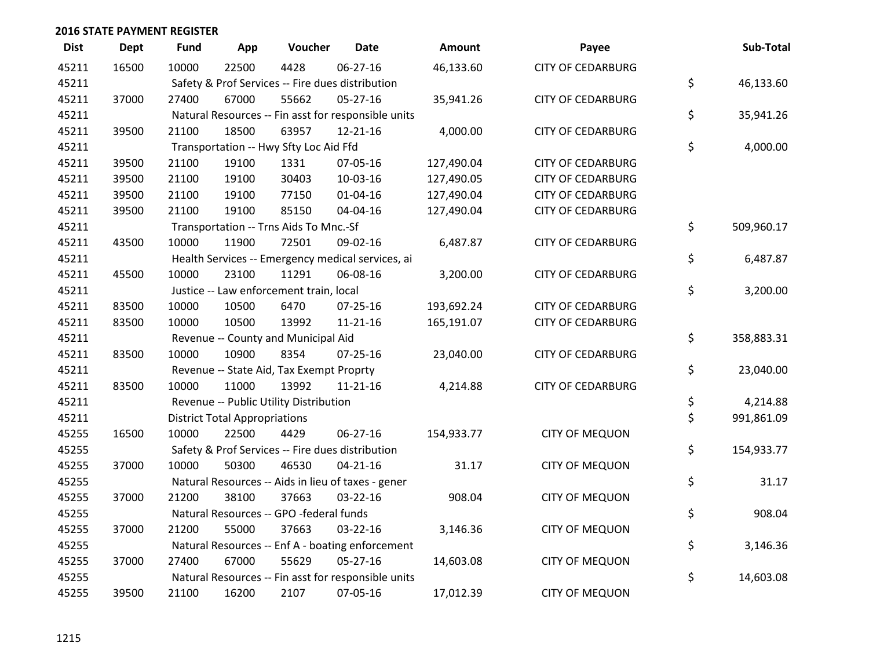| <b>Dist</b> | Dept  | <b>Fund</b>                                      | App                                  | Voucher                                  | <b>Date</b>                                         | Amount     | Payee                    | Sub-Total        |
|-------------|-------|--------------------------------------------------|--------------------------------------|------------------------------------------|-----------------------------------------------------|------------|--------------------------|------------------|
| 45211       | 16500 | 10000                                            | 22500                                | 4428                                     | $06 - 27 - 16$                                      | 46,133.60  | <b>CITY OF CEDARBURG</b> |                  |
| 45211       |       | Safety & Prof Services -- Fire dues distribution | \$<br>46,133.60                      |                                          |                                                     |            |                          |                  |
| 45211       | 37000 | 27400                                            | 67000                                | 55662                                    | $05 - 27 - 16$                                      | 35,941.26  | <b>CITY OF CEDARBURG</b> |                  |
| 45211       |       |                                                  |                                      |                                          | Natural Resources -- Fin asst for responsible units |            |                          | \$<br>35,941.26  |
| 45211       | 39500 | 21100                                            | 18500                                | 63957                                    | $12 - 21 - 16$                                      | 4,000.00   | <b>CITY OF CEDARBURG</b> |                  |
| 45211       |       |                                                  |                                      | Transportation -- Hwy Sfty Loc Aid Ffd   |                                                     |            |                          | \$<br>4,000.00   |
| 45211       | 39500 | 21100                                            | 19100                                | 1331                                     | 07-05-16                                            | 127,490.04 | <b>CITY OF CEDARBURG</b> |                  |
| 45211       | 39500 | 21100                                            | 19100                                | 30403                                    | 10-03-16                                            | 127,490.05 | <b>CITY OF CEDARBURG</b> |                  |
| 45211       | 39500 | 21100                                            | 19100                                | 77150                                    | $01 - 04 - 16$                                      | 127,490.04 | <b>CITY OF CEDARBURG</b> |                  |
| 45211       | 39500 | 21100                                            | 19100                                | 85150                                    | 04-04-16                                            | 127,490.04 | <b>CITY OF CEDARBURG</b> |                  |
| 45211       |       |                                                  |                                      | Transportation -- Trns Aids To Mnc.-Sf   |                                                     |            |                          | \$<br>509,960.17 |
| 45211       | 43500 | 10000                                            | 11900                                | 72501                                    | 09-02-16                                            | 6,487.87   | <b>CITY OF CEDARBURG</b> |                  |
| 45211       |       |                                                  |                                      |                                          | Health Services -- Emergency medical services, ai   |            |                          | \$<br>6,487.87   |
| 45211       | 45500 | 10000                                            | 23100                                | 11291                                    | 06-08-16                                            | 3,200.00   | <b>CITY OF CEDARBURG</b> |                  |
| 45211       |       |                                                  |                                      | Justice -- Law enforcement train, local  |                                                     |            |                          | \$<br>3,200.00   |
| 45211       | 83500 | 10000                                            | 10500                                | 6470                                     | $07 - 25 - 16$                                      | 193,692.24 | <b>CITY OF CEDARBURG</b> |                  |
| 45211       | 83500 | 10000                                            | 10500                                | 13992                                    | $11 - 21 - 16$                                      | 165,191.07 | <b>CITY OF CEDARBURG</b> |                  |
| 45211       |       |                                                  |                                      | Revenue -- County and Municipal Aid      |                                                     |            |                          | \$<br>358,883.31 |
| 45211       | 83500 | 10000                                            | 10900                                | 8354                                     | $07 - 25 - 16$                                      | 23,040.00  | <b>CITY OF CEDARBURG</b> |                  |
| 45211       |       |                                                  |                                      | Revenue -- State Aid, Tax Exempt Proprty |                                                     |            |                          | \$<br>23,040.00  |
| 45211       | 83500 | 10000                                            | 11000                                | 13992                                    | $11 - 21 - 16$                                      | 4,214.88   | <b>CITY OF CEDARBURG</b> |                  |
| 45211       |       |                                                  |                                      | Revenue -- Public Utility Distribution   |                                                     |            |                          | \$<br>4,214.88   |
| 45211       |       |                                                  | <b>District Total Appropriations</b> |                                          |                                                     |            |                          | \$<br>991,861.09 |
| 45255       | 16500 | 10000                                            | 22500                                | 4429                                     | 06-27-16                                            | 154,933.77 | <b>CITY OF MEQUON</b>    |                  |
| 45255       |       |                                                  |                                      |                                          | Safety & Prof Services -- Fire dues distribution    |            |                          | \$<br>154,933.77 |
| 45255       | 37000 | 10000                                            | 50300                                | 46530                                    | $04 - 21 - 16$                                      | 31.17      | <b>CITY OF MEQUON</b>    |                  |
| 45255       |       |                                                  |                                      |                                          | Natural Resources -- Aids in lieu of taxes - gener  |            |                          | \$<br>31.17      |
| 45255       | 37000 | 21200                                            | 38100                                | 37663                                    | 03-22-16                                            | 908.04     | <b>CITY OF MEQUON</b>    |                  |
| 45255       |       |                                                  |                                      | Natural Resources -- GPO -federal funds  |                                                     |            |                          | \$<br>908.04     |
| 45255       | 37000 | 21200                                            | 55000                                | 37663                                    | $03 - 22 - 16$                                      | 3,146.36   | <b>CITY OF MEQUON</b>    |                  |
| 45255       |       |                                                  |                                      |                                          | Natural Resources -- Enf A - boating enforcement    |            |                          | \$<br>3,146.36   |
| 45255       | 37000 | 27400                                            | 67000                                | 55629                                    | $05 - 27 - 16$                                      | 14,603.08  | <b>CITY OF MEQUON</b>    |                  |
| 45255       |       |                                                  |                                      |                                          | Natural Resources -- Fin asst for responsible units |            |                          | \$<br>14,603.08  |
| 45255       | 39500 | 21100                                            | 16200                                | 2107                                     | 07-05-16                                            | 17,012.39  | <b>CITY OF MEQUON</b>    |                  |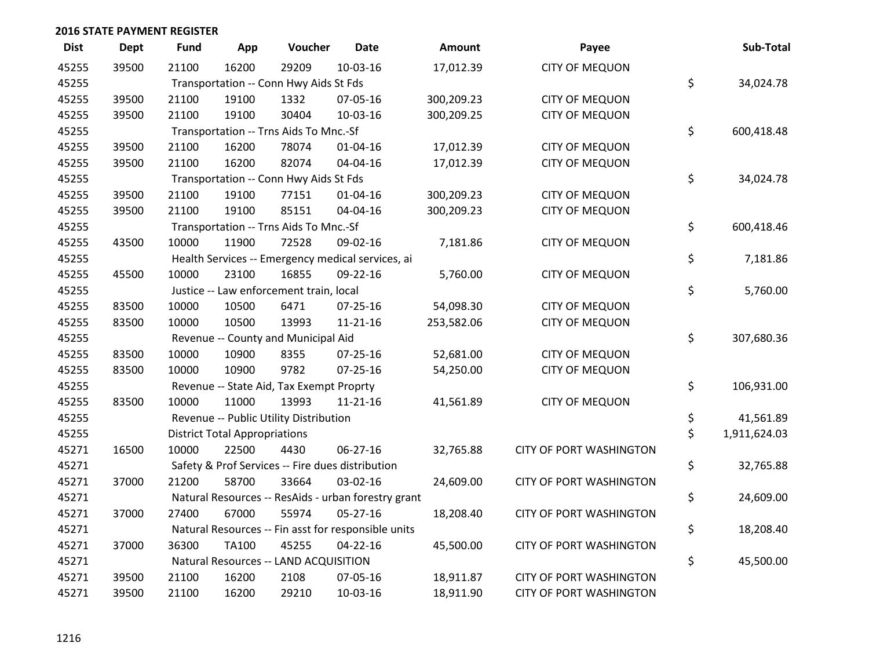| <b>Dist</b> | Dept  | Fund  | App                                  | Voucher                                             | <b>Date</b>    | Amount     | Payee                          | Sub-Total          |
|-------------|-------|-------|--------------------------------------|-----------------------------------------------------|----------------|------------|--------------------------------|--------------------|
| 45255       | 39500 | 21100 | 16200                                | 29209                                               | 10-03-16       | 17,012.39  | <b>CITY OF MEQUON</b>          |                    |
| 45255       |       |       |                                      | Transportation -- Conn Hwy Aids St Fds              |                |            |                                | \$<br>34,024.78    |
| 45255       | 39500 | 21100 | 19100                                | 1332                                                | 07-05-16       | 300,209.23 | <b>CITY OF MEQUON</b>          |                    |
| 45255       | 39500 | 21100 | 19100                                | 30404                                               | 10-03-16       | 300,209.25 | <b>CITY OF MEQUON</b>          |                    |
| 45255       |       |       |                                      | Transportation -- Trns Aids To Mnc.-Sf              |                |            |                                | \$<br>600,418.48   |
| 45255       | 39500 | 21100 | 16200                                | 78074                                               | 01-04-16       | 17,012.39  | <b>CITY OF MEQUON</b>          |                    |
| 45255       | 39500 | 21100 | 16200                                | 82074                                               | 04-04-16       | 17,012.39  | <b>CITY OF MEQUON</b>          |                    |
| 45255       |       |       |                                      | Transportation -- Conn Hwy Aids St Fds              |                |            |                                | \$<br>34,024.78    |
| 45255       | 39500 | 21100 | 19100                                | 77151                                               | $01 - 04 - 16$ | 300,209.23 | <b>CITY OF MEQUON</b>          |                    |
| 45255       | 39500 | 21100 | 19100                                | 85151                                               | 04-04-16       | 300,209.23 | <b>CITY OF MEQUON</b>          |                    |
| 45255       |       |       |                                      | Transportation -- Trns Aids To Mnc.-Sf              |                |            |                                | \$<br>600,418.46   |
| 45255       | 43500 | 10000 | 11900                                | 72528                                               | 09-02-16       | 7,181.86   | <b>CITY OF MEQUON</b>          |                    |
| 45255       |       |       |                                      | Health Services -- Emergency medical services, ai   |                |            |                                | \$<br>7,181.86     |
| 45255       | 45500 | 10000 | 23100                                | 16855                                               | 09-22-16       | 5,760.00   | <b>CITY OF MEQUON</b>          |                    |
| 45255       |       |       |                                      | Justice -- Law enforcement train, local             |                |            |                                | \$<br>5,760.00     |
| 45255       | 83500 | 10000 | 10500                                | 6471                                                | $07 - 25 - 16$ | 54,098.30  | <b>CITY OF MEQUON</b>          |                    |
| 45255       | 83500 | 10000 | 10500                                | 13993                                               | 11-21-16       | 253,582.06 | <b>CITY OF MEQUON</b>          |                    |
| 45255       |       |       |                                      | Revenue -- County and Municipal Aid                 |                |            |                                | \$<br>307,680.36   |
| 45255       | 83500 | 10000 | 10900                                | 8355                                                | $07 - 25 - 16$ | 52,681.00  | <b>CITY OF MEQUON</b>          |                    |
| 45255       | 83500 | 10000 | 10900                                | 9782                                                | $07 - 25 - 16$ | 54,250.00  | <b>CITY OF MEQUON</b>          |                    |
| 45255       |       |       |                                      | Revenue -- State Aid, Tax Exempt Proprty            |                |            |                                | \$<br>106,931.00   |
| 45255       | 83500 | 10000 | 11000                                | 13993                                               | 11-21-16       | 41,561.89  | <b>CITY OF MEQUON</b>          |                    |
| 45255       |       |       |                                      | Revenue -- Public Utility Distribution              |                |            |                                | \$<br>41,561.89    |
| 45255       |       |       | <b>District Total Appropriations</b> |                                                     |                |            |                                | \$<br>1,911,624.03 |
| 45271       | 16500 | 10000 | 22500                                | 4430                                                | 06-27-16       | 32,765.88  | CITY OF PORT WASHINGTON        |                    |
| 45271       |       |       |                                      | Safety & Prof Services -- Fire dues distribution    |                |            |                                | \$<br>32,765.88    |
| 45271       | 37000 | 21200 | 58700                                | 33664                                               | 03-02-16       | 24,609.00  | CITY OF PORT WASHINGTON        |                    |
| 45271       |       |       |                                      | Natural Resources -- ResAids - urban forestry grant |                |            |                                | \$<br>24,609.00    |
| 45271       | 37000 | 27400 | 67000                                | 55974                                               | $05 - 27 - 16$ | 18,208.40  | <b>CITY OF PORT WASHINGTON</b> |                    |
| 45271       |       |       |                                      | Natural Resources -- Fin asst for responsible units |                |            |                                | \$<br>18,208.40    |
| 45271       | 37000 | 36300 | <b>TA100</b>                         | 45255                                               | $04 - 22 - 16$ | 45,500.00  | CITY OF PORT WASHINGTON        |                    |
| 45271       |       |       |                                      | Natural Resources -- LAND ACQUISITION               |                |            |                                | \$<br>45,500.00    |
| 45271       | 39500 | 21100 | 16200                                | 2108                                                | 07-05-16       | 18,911.87  | CITY OF PORT WASHINGTON        |                    |
| 45271       | 39500 | 21100 | 16200                                | 29210                                               | 10-03-16       | 18,911.90  | <b>CITY OF PORT WASHINGTON</b> |                    |